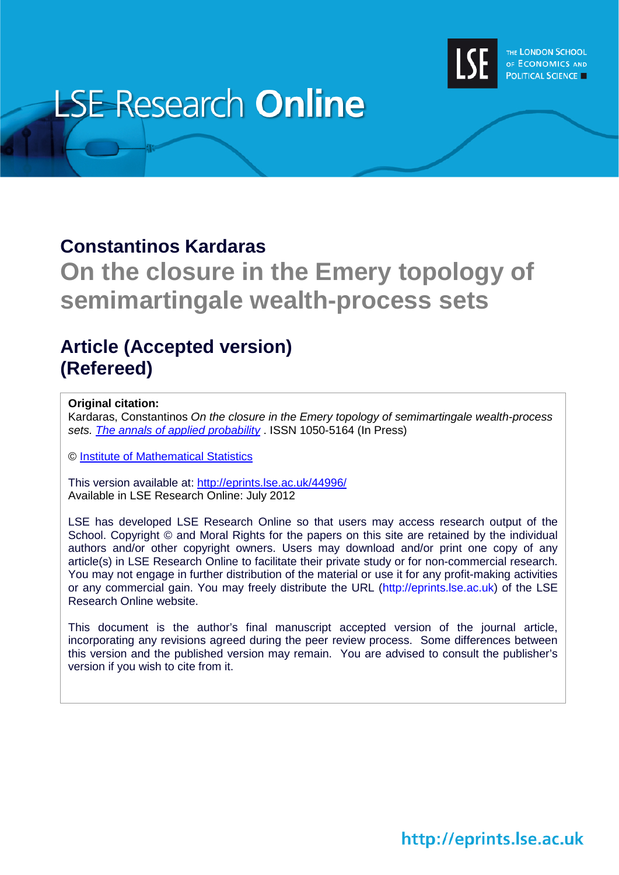

# **LSE Research Online**

### **Constantinos Kardaras**

# **On the closure in the Emery topology of semimartingale wealth-process sets**

## **Article (Accepted version) (Refereed)**

#### **Original citation:**

Kardaras, Constantinos *On the closure in the Emery topology of semimartingale wealth-process sets. [The annals of applied probability](http://www.imstat.org/aap/)* . ISSN 1050-5164 (In Press)

© [Institute of Mathematical Statistics](http://imstat.org/en/index.html)

This version available at:<http://eprints.lse.ac.uk/44996/> Available in LSE Research Online: July 2012

LSE has developed LSE Research Online so that users may access research output of the School. Copyright © and Moral Rights for the papers on this site are retained by the individual authors and/or other copyright owners. Users may download and/or print one copy of any article(s) in LSE Research Online to facilitate their private study or for non-commercial research. You may not engage in further distribution of the material or use it for any profit-making activities or any commercial gain. You may freely distribute the URL (http://eprints.lse.ac.uk) of the LSE Research Online website.

This document is the author's final manuscript accepted version of the journal article, incorporating any revisions agreed during the peer review process. Some differences between this version and the published version may remain. You are advised to consult the publisher's version if you wish to cite from it.

# http://eprints.lse.ac.uk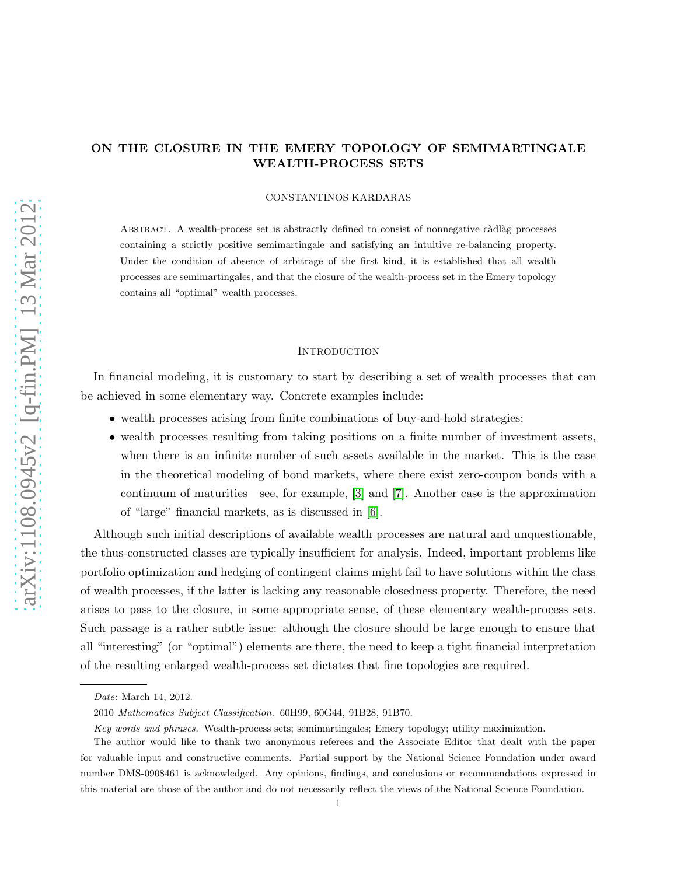ABSTRACT. A wealth-process set is abstractly defined to consist of nonnegative càdlàg processes containing a strictly positive semimartingale and satisfying an intuitive re-balancing property. Under the condition of absence of arbitrage of the first kind, it is established that all wealth processes are semimartingales, and that the closure of the wealth-process set in the Emery topology contains all "optimal" wealth processes.

#### **INTRODUCTION**

In financial modeling, it is customary to start by describing a set of wealth processes that can be achieved in some elementary way. Concrete examples include:

- wealth processes arising from finite combinations of buy-and-hold strategies;
- wealth processes resulting from taking positions on a finite number of investment assets, when there is an infinite number of such assets available in the market. This is the case in the theoretical modeling of bond markets, where there exist zero-coupon bonds with a continuum of maturities—see, for example, [\[3\]](#page-19-0) and [\[7\]](#page-19-1). Another case is the approximation of "large" financial markets, as is discussed in [\[6\]](#page-19-2).

Although such initial descriptions of available wealth processes are natural and unquestionable, the thus-constructed classes are typically insufficient for analysis. Indeed, important problems like portfolio optimization and hedging of contingent claims might fail to have solutions within the class of wealth processes, if the latter is lacking any reasonable closedness property. Therefore, the need arises to pass to the closure, in some appropriate sense, of these elementary wealth-process sets. Such passage is a rather subtle issue: although the closure should be large enough to ensure that all "interesting" (or "optimal") elements are there, the need to keep a tight financial interpretation of the resulting enlarged wealth-process set dictates that fine topologies are required.

Date: March 14, 2012.

<sup>2010</sup> Mathematics Subject Classification. 60H99, 60G44, 91B28, 91B70.

Key words and phrases. Wealth-process sets; semimartingales; Emery topology; utility maximization.

The author would like to thank two anonymous referees and the Associate Editor that dealt with the paper for valuable input and constructive comments. Partial support by the National Science Foundation under award number DMS-0908461 is acknowledged. Any opinions, findings, and conclusions or recommendations expressed in this material are those of the author and do not necessarily reflect the views of the National Science Foundation.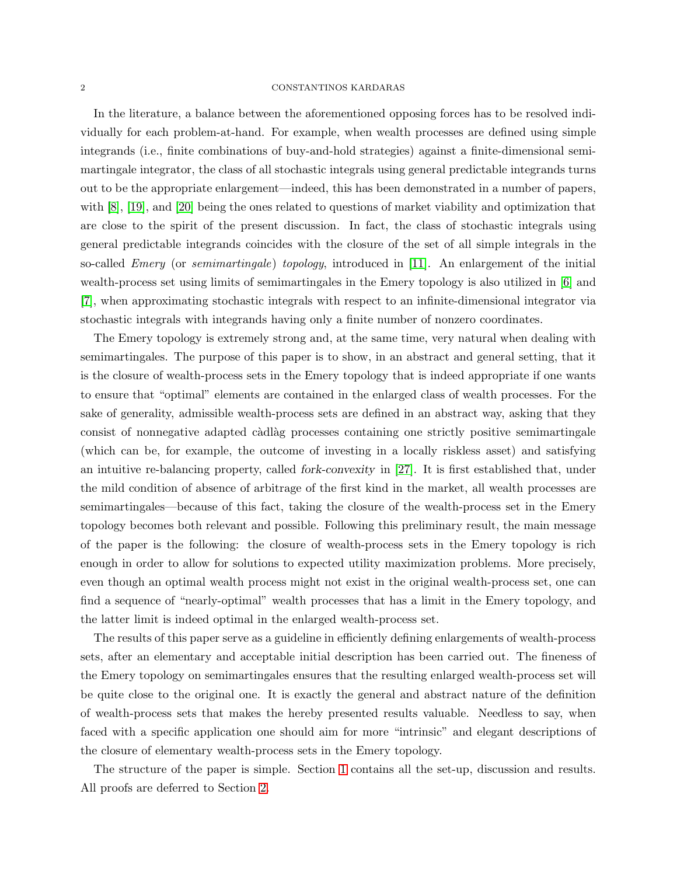In the literature, a balance between the aforementioned opposing forces has to be resolved individually for each problem-at-hand. For example, when wealth processes are defined using simple integrands (i.e., finite combinations of buy-and-hold strategies) against a finite-dimensional semimartingale integrator, the class of all stochastic integrals using general predictable integrands turns out to be the appropriate enlargement—indeed, this has been demonstrated in a number of papers, with  $[8]$ , [\[19\]](#page-20-0), and [\[20\]](#page-20-1) being the ones related to questions of market viability and optimization that are close to the spirit of the present discussion. In fact, the class of stochastic integrals using general predictable integrands coincides with the closure of the set of all simple integrals in the so-called *Emery* (or *semimartingale*) *topology*, introduced in [\[11\]](#page-19-4). An enlargement of the initial wealth-process set using limits of semimartingales in the Emery topology is also utilized in [\[6\]](#page-19-2) and [\[7\]](#page-19-1), when approximating stochastic integrals with respect to an infinite-dimensional integrator via stochastic integrals with integrands having only a finite number of nonzero coordinates.

The Emery topology is extremely strong and, at the same time, very natural when dealing with semimartingales. The purpose of this paper is to show, in an abstract and general setting, that it is the closure of wealth-process sets in the Emery topology that is indeed appropriate if one wants to ensure that "optimal" elements are contained in the enlarged class of wealth processes. For the sake of generality, admissible wealth-process sets are defined in an abstract way, asking that they consist of nonnegative adapted càdlàg processes containing one strictly positive semimartingale (which can be, for example, the outcome of investing in a locally riskless asset) and satisfying an intuitive re-balancing property, called fork-convexity in [\[27\]](#page-20-2). It is first established that, under the mild condition of absence of arbitrage of the first kind in the market, all wealth processes are semimartingales—because of this fact, taking the closure of the wealth-process set in the Emery topology becomes both relevant and possible. Following this preliminary result, the main message of the paper is the following: the closure of wealth-process sets in the Emery topology is rich enough in order to allow for solutions to expected utility maximization problems. More precisely, even though an optimal wealth process might not exist in the original wealth-process set, one can find a sequence of "nearly-optimal" wealth processes that has a limit in the Emery topology, and the latter limit is indeed optimal in the enlarged wealth-process set.

The results of this paper serve as a guideline in efficiently defining enlargements of wealth-process sets, after an elementary and acceptable initial description has been carried out. The fineness of the Emery topology on semimartingales ensures that the resulting enlarged wealth-process set will be quite close to the original one. It is exactly the general and abstract nature of the definition of wealth-process sets that makes the hereby presented results valuable. Needless to say, when faced with a specific application one should aim for more "intrinsic" and elegant descriptions of the closure of elementary wealth-process sets in the Emery topology.

The structure of the paper is simple. Section [1](#page-3-0) contains all the set-up, discussion and results. All proofs are deferred to Section [2.](#page-7-0)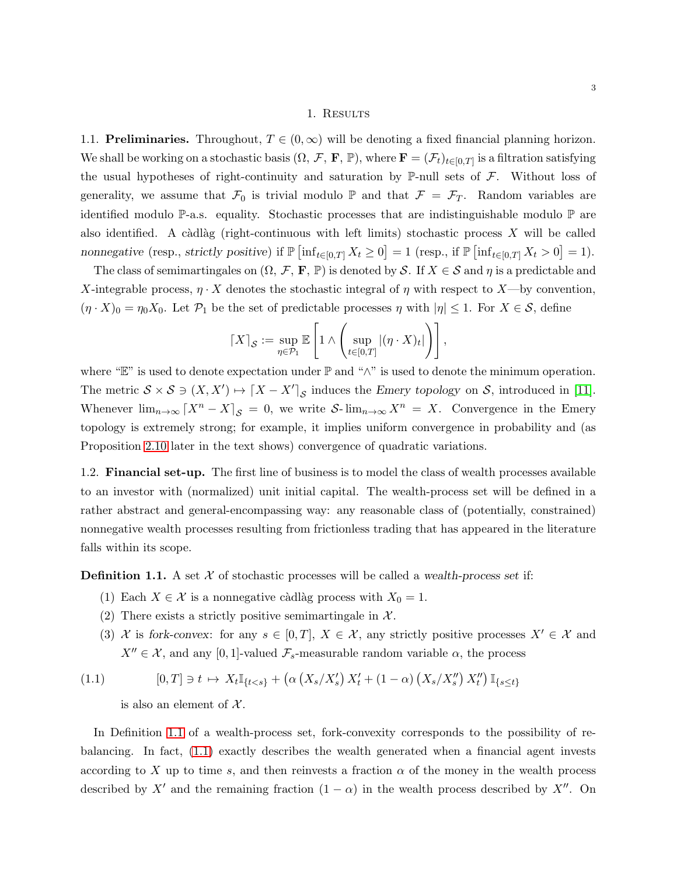#### 1. RESULTS

<span id="page-3-0"></span>1.1. **Preliminaries.** Throughout,  $T \in (0, \infty)$  will be denoting a fixed financial planning horizon. We shall be working on a stochastic basis  $(\Omega, \mathcal{F}, \mathbf{F}, \mathbb{P})$ , where  $\mathbf{F} = (\mathcal{F}_t)_{t \in [0,T]}$  is a filtration satisfying the usual hypotheses of right-continuity and saturation by  $\mathbb{P}\text{-null}$  sets of  $\mathcal{F}$ . Without loss of generality, we assume that  $\mathcal{F}_0$  is trivial modulo  $\mathbb P$  and that  $\mathcal{F} = \mathcal{F}_T$ . Random variables are identified modulo  $\mathbb{P}\text{-a.s.}$  equality. Stochastic processes that are indistinguishable modulo  $\mathbb{P}$  are also identified. A càdlàg (right-continuous with left limits) stochastic process X will be called nonnegative (resp., strictly positive) if  $\mathbb{P} \left[ \inf_{t \in [0,T]} X_t \geq 0 \right] = 1$  (resp., if  $\mathbb{P} \left[ \inf_{t \in [0,T]} X_t > 0 \right] = 1$ ).

The class of semimartingales on  $(\Omega, \mathcal{F}, \mathbf{F}, \mathbb{P})$  is denoted by S. If  $X \in \mathcal{S}$  and  $\eta$  is a predictable and X-integrable process,  $\eta \cdot X$  denotes the stochastic integral of  $\eta$  with respect to X—by convention,  $(\eta \cdot X)_0 = \eta_0 X_0$ . Let  $\mathcal{P}_1$  be the set of predictable processes  $\eta$  with  $|\eta| \leq 1$ . For  $X \in \mathcal{S}$ , define

$$
\lceil X \rceil_{\mathcal{S}} := \sup_{\eta \in \mathcal{P}_1} \mathbb{E}\left[1 \wedge \left(\sup_{t \in [0,T]} |(\eta \cdot X)_t|\right)\right],
$$

where "E" is used to denote expectation under  $\mathbb P$  and " $\wedge$ " is used to denote the minimum operation. The metric  $S \times S \ni (X, X') \mapsto [X - X']_{S}$  induces the *Emery topology* on S, introduced in [\[11\]](#page-19-4). Whenever  $\lim_{n\to\infty} [X^n - X]_{\mathcal{S}} = 0$ , we write S- $\lim_{n\to\infty} X^n = X$ . Convergence in the Emery topology is extremely strong; for example, it implies uniform convergence in probability and (as Proposition [2.10](#page-13-0) later in the text shows) convergence of quadratic variations.

1.2. Financial set-up. The first line of business is to model the class of wealth processes available to an investor with (normalized) unit initial capital. The wealth-process set will be defined in a rather abstract and general-encompassing way: any reasonable class of (potentially, constrained) nonnegative wealth processes resulting from frictionless trading that has appeared in the literature falls within its scope.

<span id="page-3-1"></span>**Definition 1.1.** A set  $\mathcal{X}$  of stochastic processes will be called a wealth-process set if:

- (1) Each  $X \in \mathcal{X}$  is a nonnegative càdlàg process with  $X_0 = 1$ .
- (2) There exists a strictly positive semimartingale in  $\mathcal{X}$ .
- (3) X is fork-convex: for any  $s \in [0,T]$ ,  $X \in \mathcal{X}$ , any strictly positive processes  $X' \in \mathcal{X}$  and  $X'' \in \mathcal{X}$ , and any [0, 1]-valued  $\mathcal{F}_s$ -measurable random variable  $\alpha$ , the process

(1.1) 
$$
[0,T] \ni t \mapsto X_t \mathbb{I}_{\{t < s\}} + (\alpha \left(X_s/X_s'\right)X_t' + (1-\alpha)\left(X_s/X_s''\right)X_t'') \mathbb{I}_{\{s \le t\}}
$$

<span id="page-3-2"></span>is also an element of  $\mathcal{X}$ .

In Definition [1.1](#page-3-1) of a wealth-process set, fork-convexity corresponds to the possibility of rebalancing. In fact, [\(1.1\)](#page-3-2) exactly describes the wealth generated when a financial agent invests according to X up to time s, and then reinvests a fraction  $\alpha$  of the money in the wealth process described by X' and the remaining fraction  $(1 - \alpha)$  in the wealth process described by X''. On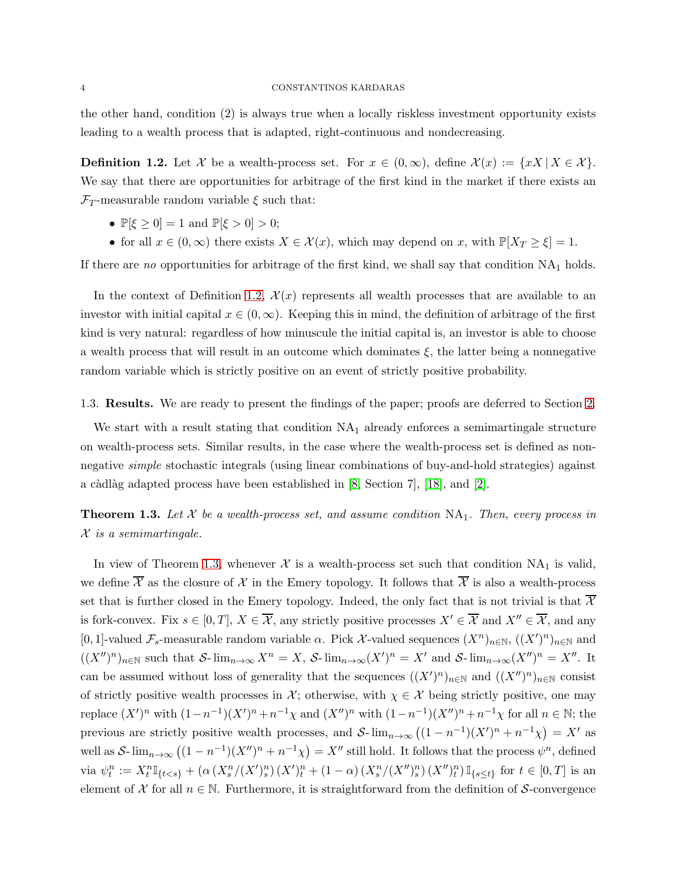the other hand, condition (2) is always true when a locally riskless investment opportunity exists leading to a wealth process that is adapted, right-continuous and nondecreasing.

<span id="page-4-0"></span>**Definition 1.2.** Let X be a wealth-process set. For  $x \in (0,\infty)$ , define  $\mathcal{X}(x) := \{xX \mid X \in \mathcal{X}\}\.$ We say that there are opportunities for arbitrage of the first kind in the market if there exists an  $\mathcal{F}_T$ -measurable random variable  $\xi$  such that:

- $\mathbb{P}[\xi \geq 0] = 1$  and  $\mathbb{P}[\xi > 0] > 0$ ;
- for all  $x \in (0, \infty)$  there exists  $X \in \mathcal{X}(x)$ , which may depend on x, with  $\mathbb{P}[X_T \geq \xi] = 1$ .

If there are *no* opportunities for arbitrage of the first kind, we shall say that condition NA<sup>1</sup> holds.

In the context of Definition [1.2,](#page-4-0)  $\mathcal{X}(x)$  represents all wealth processes that are available to an investor with initial capital  $x \in (0, \infty)$ . Keeping this in mind, the definition of arbitrage of the first kind is very natural: regardless of how minuscule the initial capital is, an investor is able to choose a wealth process that will result in an outcome which dominates  $\xi$ , the latter being a nonnegative random variable which is strictly positive on an event of strictly positive probability.

<span id="page-4-2"></span>1.3. Results. We are ready to present the findings of the paper; proofs are deferred to Section [2.](#page-7-0)

We start with a result stating that condition  $NA_1$  already enforces a semimartingale structure on wealth-process sets. Similar results, in the case where the wealth-process set is defined as nonnegative *simple* stochastic integrals (using linear combinations of buy-and-hold strategies) against a càdlàg adapted process have been established in  $[8, Section 7], [18],$  $[8, Section 7], [18],$  $[8, Section 7], [18],$  and  $[2].$ 

<span id="page-4-1"></span>**Theorem 1.3.** Let  $\mathcal{X}$  be a wealth-process set, and assume condition  $NA_1$ . Then, every process in X *is a semimartingale.*

In view of Theorem [1.3,](#page-4-1) whenever  $\mathcal X$  is a wealth-process set such that condition NA<sub>1</sub> is valid, we define  $\overline{\mathcal{X}}$  as the closure of  $\mathcal X$  in the Emery topology. It follows that  $\overline{\mathcal{X}}$  is also a wealth-process set that is further closed in the Emery topology. Indeed, the only fact that is not trivial is that  $\overline{\mathcal{X}}$ is fork-convex. Fix  $s \in [0, T]$ ,  $X \in \overline{\mathcal{X}}$ , any strictly positive processes  $X' \in \overline{\mathcal{X}}$  and  $X'' \in \overline{\mathcal{X}}$ , and any [0, 1]-valued  $\mathcal{F}_s$ -measurable random variable  $\alpha$ . Pick X-valued sequences  $(X^n)_{n\in\mathbb{N}}$ ,  $((X')^n)_{n\in\mathbb{N}}$  and  $((X'')^n)_{n\in\mathbb{N}}$  such that S- $\lim_{n\to\infty} X^n = X$ , S- $\lim_{n\to\infty} (X')^n = X'$  and S- $\lim_{n\to\infty} (X'')^n = X''$ . It can be assumed without loss of generality that the sequences  $((X')^n)_{n\in\mathbb{N}}$  and  $((X'')^n)_{n\in\mathbb{N}}$  consist of strictly positive wealth processes in X; otherwise, with  $\chi \in \mathcal{X}$  being strictly positive, one may replace  $(X')^n$  with  $(1-n^{-1})(X')^n + n^{-1}\chi$  and  $(X'')^n$  with  $(1-n^{-1})(X'')^n + n^{-1}\chi$  for all  $n \in \mathbb{N}$ ; the previous are strictly positive wealth processes, and  $S$ - $\lim_{n\to\infty} ((1-n^{-1})(X')^n + n^{-1}\chi) = X'$  as well as  $S$ -  $\lim_{n\to\infty} ((1-n^{-1})(X'')^n + n^{-1}\chi) = X''$  still hold. It follows that the process  $\psi^n$ , defined via  $\psi_t^n := X_t^n \mathbb{I}_{\{t < s\}} + (\alpha (X_s^n/(X')_s^n)(X')_t^n + (1 - \alpha) (X_s^n/(X'')_s^n)(X'')_t^n)\mathbb{I}_{\{s \le t\}}$  for  $t \in [0, T]$  is an element of X for all  $n \in \mathbb{N}$ . Furthermore, it is straightforward from the definition of S-convergence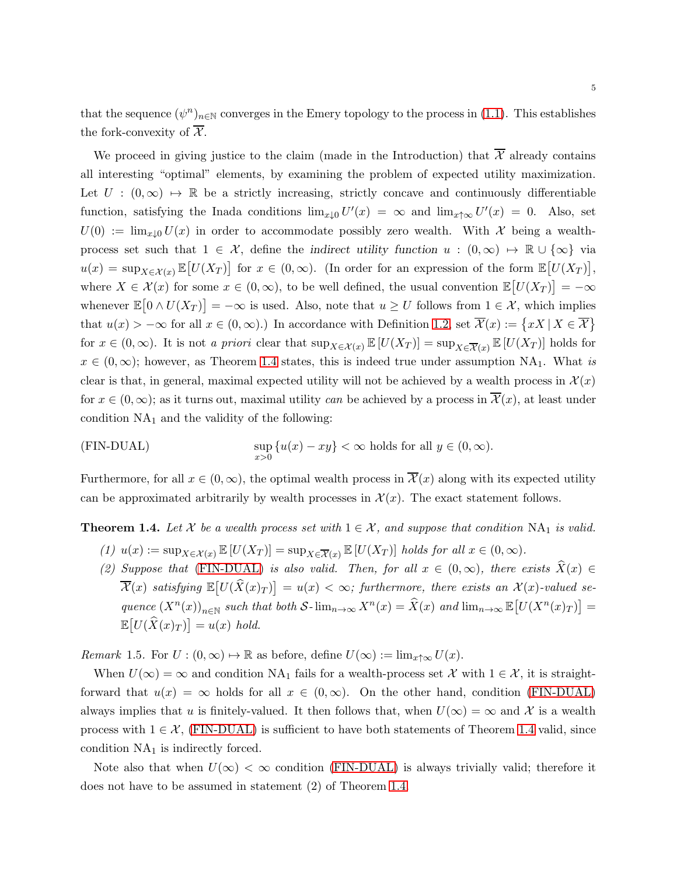that the sequence  $(\psi^n)_{n\in\mathbb{N}}$  converges in the Emery topology to the process in [\(1.1\)](#page-3-2). This establishes the fork-convexity of  $\overline{\mathcal{X}}$ .

We proceed in giving justice to the claim (made in the Introduction) that  $\overline{X}$  already contains all interesting "optimal" elements, by examining the problem of expected utility maximization. Let  $U : (0,\infty) \rightarrow \mathbb{R}$  be a strictly increasing, strictly concave and continuously differentiable function, satisfying the Inada conditions  $\lim_{x\downarrow 0} U'(x) = \infty$  and  $\lim_{x\uparrow \infty} U'(x) = 0$ . Also, set  $U(0) := \lim_{x\downarrow 0} U(x)$  in order to accommodate possibly zero wealth. With X being a wealthprocess set such that  $1 \in \mathcal{X}$ , define the indirect utility function  $u : (0, \infty) \mapsto \mathbb{R} \cup \{\infty\}$  via  $u(x) = \sup_{X \in \mathcal{X}(x)} \mathbb{E}[U(X_T)]$  for  $x \in (0, \infty)$ . (In order for an expression of the form  $\mathbb{E}[U(X_T)],$ where  $X \in \mathcal{X}(x)$  for some  $x \in (0, \infty)$ , to be well defined, the usual convention  $\mathbb{E}[U(X_T)] = -\infty$ whenever  $\mathbb{E}[0 \wedge U(X_T)] = -\infty$  is used. Also, note that  $u \geq U$  follows from  $1 \in \mathcal{X}$ , which implies that  $u(x) > -\infty$  for all  $x \in (0, \infty)$ .) In accordance with Definition [1.2,](#page-4-0) set  $\overline{\mathcal{X}}(x) := \{xX \mid X \in \overline{\mathcal{X}}\}$ for  $x \in (0,\infty)$ . It is not *a priori* clear that  $\sup_{X \in \mathcal{X}(x)} \mathbb{E}[U(X_T)] = \sup_{X \in \overline{\mathcal{X}}(x)} \mathbb{E}[U(X_T)]$  holds for  $x \in (0,\infty)$ ; however, as Theorem [1.4](#page-5-0) states, this is indeed true under assumption NA<sub>1</sub>. What *is* clear is that, in general, maximal expected utility will not be achieved by a wealth process in  $\mathcal{X}(x)$ for  $x \in (0, \infty)$ ; as it turns out, maximal utility *can* be achieved by a process in  $\overline{\mathcal{X}}(x)$ , at least under condition  $NA<sub>1</sub>$  and the validity of the following:

<span id="page-5-1"></span>(FIN-DUAL) 
$$
\sup_{x>0} \{u(x) - xy\} < \infty \text{ holds for all } y \in (0, \infty).
$$

Furthermore, for all  $x \in (0,\infty)$ , the optimal wealth process in  $\overline{\mathcal{X}}(x)$  along with its expected utility can be approximated arbitrarily by wealth processes in  $\mathcal{X}(x)$ . The exact statement follows.

<span id="page-5-0"></span>**Theorem 1.4.** Let X be a wealth process set with  $1 \in \mathcal{X}$ , and suppose that condition  $NA_1$  is valid.

- $(1)$   $u(x) := \sup_{X \in \mathcal{X}(x)} \mathbb{E} [U(X_T)] = \sup_{X \in \overline{\mathcal{X}}(x)} \mathbb{E} [U(X_T)]$  *holds for all*  $x \in (0, \infty)$ *.*
- (2) Suppose that [\(FIN-DUAL\)](#page-5-1) *is also valid. Then, for all*  $x \in (0,\infty)$ *, there exists*  $\widehat{X}(x) \in$  $\overline{\mathcal{X}}(x)$  satisfying  $\mathbb{E}\big[U(\widehat{X}(x)_T)\big] = u(x) < \infty$ ; furthermore, there exists an  $\mathcal{X}(x)$ -valued se*quence*  $(X^n(x))_{n \in \mathbb{N}}$  such that both  $S$ - $\lim_{n \to \infty} X^n(x) = \hat{X}(x)$  and  $\lim_{n \to \infty} \mathbb{E}[U(X^n(x)_T)] =$  $\mathbb{E}\big[U(\widehat{X}(x)_T)\big] = u(x) \text{ hold.}$

*Remark* 1.5. For  $U : (0, \infty) \to \mathbb{R}$  as before, define  $U(\infty) := \lim_{x \uparrow \infty} U(x)$ .

When  $U(\infty) = \infty$  and condition NA<sub>1</sub> fails for a wealth-process set X with  $1 \in \mathcal{X}$ , it is straightforward that  $u(x) = \infty$  holds for all  $x \in (0, \infty)$ . On the other hand, condition [\(FIN-DUAL\)](#page-5-1) always implies that u is finitely-valued. It then follows that, when  $U(\infty) = \infty$  and X is a wealth process with  $1 \in \mathcal{X}$ , [\(FIN-DUAL\)](#page-5-1) is sufficient to have both statements of Theorem [1.4](#page-5-0) valid, since condition  $NA<sub>1</sub>$  is indirectly forced.

Note also that when  $U(\infty) < \infty$  condition [\(FIN-DUAL\)](#page-5-1) is always trivially valid; therefore it does not have to be assumed in statement (2) of Theorem [1.4.](#page-5-0)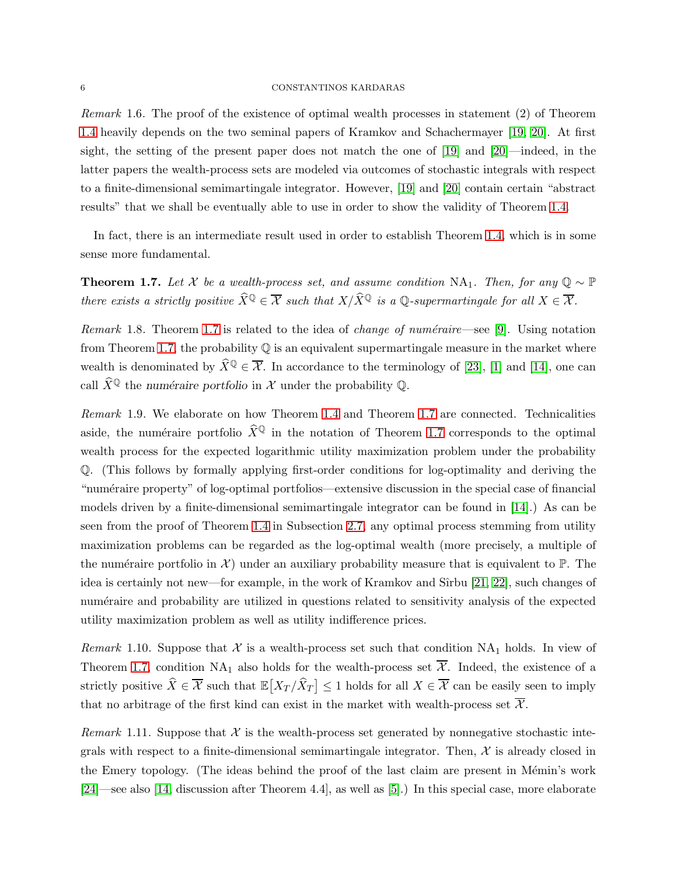*Remark* 1.6*.* The proof of the existence of optimal wealth processes in statement (2) of Theorem [1.4](#page-5-0) heavily depends on the two seminal papers of Kramkov and Schachermayer [\[19,](#page-20-0) [20\]](#page-20-1). At first sight, the setting of the present paper does not match the one of [\[19\]](#page-20-0) and [\[20\]](#page-20-1)—indeed, in the latter papers the wealth-process sets are modeled via outcomes of stochastic integrals with respect to a finite-dimensional semimartingale integrator. However, [\[19\]](#page-20-0) and [\[20\]](#page-20-1) contain certain "abstract results" that we shall be eventually able to use in order to show the validity of Theorem [1.4.](#page-5-0)

In fact, there is an intermediate result used in order to establish Theorem [1.4,](#page-5-0) which is in some sense more fundamental.

<span id="page-6-0"></span>**Theorem 1.7.** Let X be a wealth-process set, and assume condition NA<sub>1</sub>. Then, for any  $\mathbb{Q} \sim \mathbb{P}$ *there exists a strictly positive*  $\widehat{X}^{\mathbb{Q}} \in \overline{X}$  *such that*  $X/\widehat{X}^{\mathbb{Q}}$  *is a*  $\mathbb{Q}$ *-supermartingale for all*  $X \in \overline{X}$ *.* 

*Remark* 1.8. Theorem [1.7](#page-6-0) is related to the idea of *change of numéraire*—see [\[9\]](#page-19-7). Using notation from Theorem [1.7,](#page-6-0) the probability Q is an equivalent supermartingale measure in the market where wealth is denominated by  $\widehat{X}^{\mathbb{Q}} \in \overline{\mathcal{X}}$ . In accordance to the terminology of [\[23\]](#page-20-3), [\[1\]](#page-19-8) and [\[14\]](#page-19-9), one can call  $\widehat{X}^{\mathbb{Q}}$  the numéraire portfolio in X under the probability  $\mathbb{Q}$ .

*Remark* 1.9*.* We elaborate on how Theorem [1.4](#page-5-0) and Theorem [1.7](#page-6-0) are connected. Technicalities aside, the numéraire portfolio  $\widehat{X}^{\mathbb{Q}}$  in the notation of Theorem [1.7](#page-6-0) corresponds to the optimal wealth process for the expected logarithmic utility maximization problem under the probability Q. (This follows by formally applying first-order conditions for log-optimality and deriving the "numéraire property" of log-optimal portfolios—extensive discussion in the special case of financial models driven by a finite-dimensional semimartingale integrator can be found in [\[14\]](#page-19-9).) As can be seen from the proof of Theorem [1.4](#page-5-0) in Subsection [2.7,](#page-17-0) any optimal process stemming from utility maximization problems can be regarded as the log-optimal wealth (more precisely, a multiple of the numéraire portfolio in  $\mathcal{X}$  under an auxiliary probability measure that is equivalent to  $\mathbb{P}$ . The idea is certainly not new—for example, in the work of Kramkov and Sˆırbu [\[21,](#page-20-4) [22\]](#page-20-5), such changes of numéraire and probability are utilized in questions related to sensitivity analysis of the expected utility maximization problem as well as utility indifference prices.

*Remark* 1.10. Suppose that X is a wealth-process set such that condition NA<sub>1</sub> holds. In view of Theorem [1.7,](#page-6-0) condition NA<sub>1</sub> also holds for the wealth-process set  $\overline{\mathcal{X}}$ . Indeed, the existence of a strictly positive  $\widehat{X} \in \overline{\mathcal{X}}$  such that  $\mathbb{E}\big[X_T/\widehat{X}_T\big] \leq 1$  holds for all  $X \in \overline{\mathcal{X}}$  can be easily seen to imply that no arbitrage of the first kind can exist in the market with wealth-process set  $\overline{\mathcal{X}}$ .

<span id="page-6-1"></span>*Remark* 1.11. Suppose that  $X$  is the wealth-process set generated by nonnegative stochastic integrals with respect to a finite-dimensional semimartingale integrator. Then,  $\mathcal X$  is already closed in the Emery topology. (The ideas behind the proof of the last claim are present in Mémin's work [\[24\]](#page-20-6)—see also [\[14,](#page-19-9) discussion after Theorem 4.4], as well as [\[5\]](#page-19-10).) In this special case, more elaborate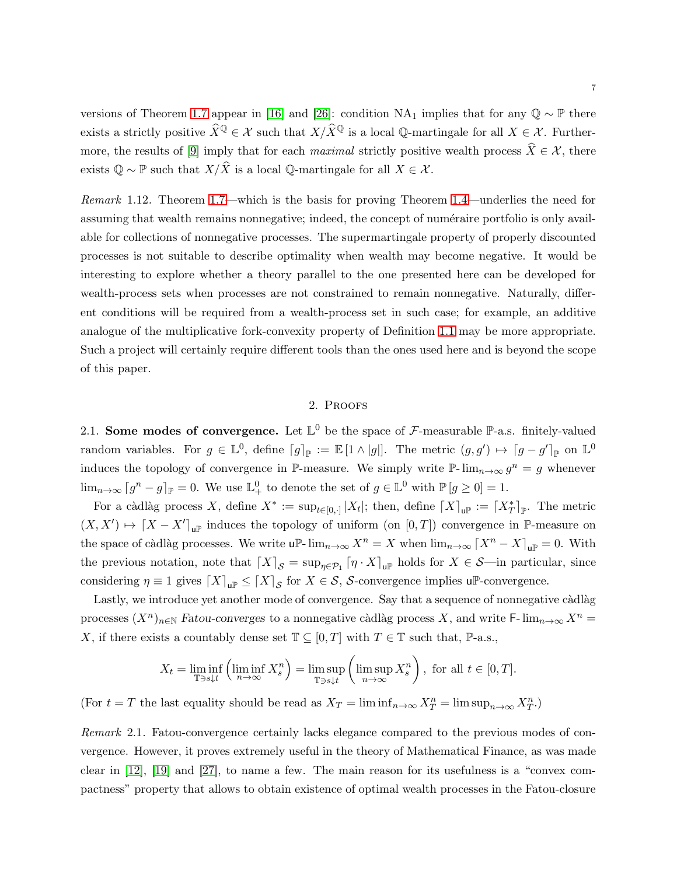versions of Theorem [1.7](#page-6-0) appear in [\[16\]](#page-19-11) and [\[26\]](#page-20-7): condition NA<sub>1</sub> implies that for any  $\mathbb{Q} \sim \mathbb{P}$  there exists a strictly positive  $\widehat{X}^{\mathbb{Q}} \in \mathcal{X}$  such that  $X/\widehat{X}^{\mathbb{Q}}$  is a local Q-martingale for all  $X \in \mathcal{X}$ . Further-more, the results of [\[9\]](#page-19-7) imply that for each *maximal* strictly positive wealth process  $\hat{X} \in \mathcal{X}$ , there exists  $\mathbb{Q} \sim \mathbb{P}$  such that  $X/\widehat{X}$  is a local  $\mathbb{Q}$ -martingale for all  $X \in \mathcal{X}$ .

*Remark* 1.12*.* Theorem [1.7—](#page-6-0)which is the basis for proving Theorem [1.4—](#page-5-0)underlies the need for assuming that wealth remains nonnegative; indeed, the concept of numéraire portfolio is only available for collections of nonnegative processes. The supermartingale property of properly discounted processes is not suitable to describe optimality when wealth may become negative. It would be interesting to explore whether a theory parallel to the one presented here can be developed for wealth-process sets when processes are not constrained to remain nonnegative. Naturally, different conditions will be required from a wealth-process set in such case; for example, an additive analogue of the multiplicative fork-convexity property of Definition [1.1](#page-3-1) may be more appropriate. Such a project will certainly require different tools than the ones used here and is beyond the scope of this paper.

#### 2. Proofs

<span id="page-7-0"></span>2.1. Some modes of convergence. Let  $\mathbb{L}^0$  be the space of *F*-measurable P-a.s. finitely-valued random variables. For  $g \in \mathbb{L}^0$ , define  $[g]_{\mathbb{P}} := \mathbb{E} [1 \wedge |g|]$ . The metric  $(g, g') \mapsto [g - g']_{\mathbb{P}}$  on  $\mathbb{L}^0$ induces the topology of convergence in P-measure. We simply write  $\mathbb{P}\text{-}\lim_{n\to\infty} g^n = g$  whenever  $\lim_{n\to\infty} [g^n - g]_{\mathbb{P}} = 0$ . We use  $\mathbb{L}^0_+$  to denote the set of  $g \in \mathbb{L}^0$  with  $\mathbb{P}[g \ge 0] = 1$ .

For a càdlàg process X, define  $X^* := \sup_{t \in [0, \cdot]} |X_t|$ ; then, define  $[X]_{\mathsf{u} \mathbb{P}} := [X_T^*]_{\mathbb{P}}$ . The metric  $(X, X') \mapsto [X - X']_{\mathsf{u} \mathbb{P}}$  induces the topology of uniform (on  $[0, T]$ ) convergence in  $\mathbb{P}$ -measure on the space of càdlàg processes. We write uP-  $\lim_{n\to\infty} X^n = X$  when  $\lim_{n\to\infty} [X^n - X]_{\text{up}} = 0$ . With the previous notation, note that  $[X]_{\mathcal{S}} = \sup_{\eta \in \mathcal{P}_1} [\eta \cdot X]_{\mathsf{u} \mathbb{P}}$  holds for  $X \in \mathcal{S}$ —in particular, since considering  $\eta \equiv 1$  gives  $[X]_{\mathsf{u} \mathbb{P}} \leq [X]_{\mathcal{S}}$  for  $X \in \mathcal{S}$ , S-convergence implies  $\mathsf{u} \mathbb{P}$ -convergence.

Lastly, we introduce yet another mode of convergence. Say that a sequence of nonnegative càdlàg processes  $(X^n)_{n\in\mathbb{N}}$  Fatou-converges to a nonnegative càdlàg process X, and write F-  $\lim_{n\to\infty} X^n$  = X, if there exists a countably dense set  $\mathbb{T} \subseteq [0, T]$  with  $T \in \mathbb{T}$  such that,  $\mathbb{P}\text{-a.s.}$ ,

$$
X_t = \liminf_{\mathbb{T}\ni s\downarrow t} \left( \liminf_{n\to\infty} X_s^n \right) = \limsup_{\mathbb{T}\ni s\downarrow t} \left( \limsup_{n\to\infty} X_s^n \right), \text{ for all } t\in[0,T].
$$

(For  $t = T$  the last equality should be read as  $X_T = \liminf_{n \to \infty} X_T^n = \limsup_{n \to \infty} X_T^n$ .)

*Remark* 2.1*.* Fatou-convergence certainly lacks elegance compared to the previous modes of convergence. However, it proves extremely useful in the theory of Mathematical Finance, as was made clear in [\[12\]](#page-19-12), [\[19\]](#page-20-0) and [\[27\]](#page-20-2), to name a few. The main reason for its usefulness is a "convex compactness" property that allows to obtain existence of optimal wealth processes in the Fatou-closure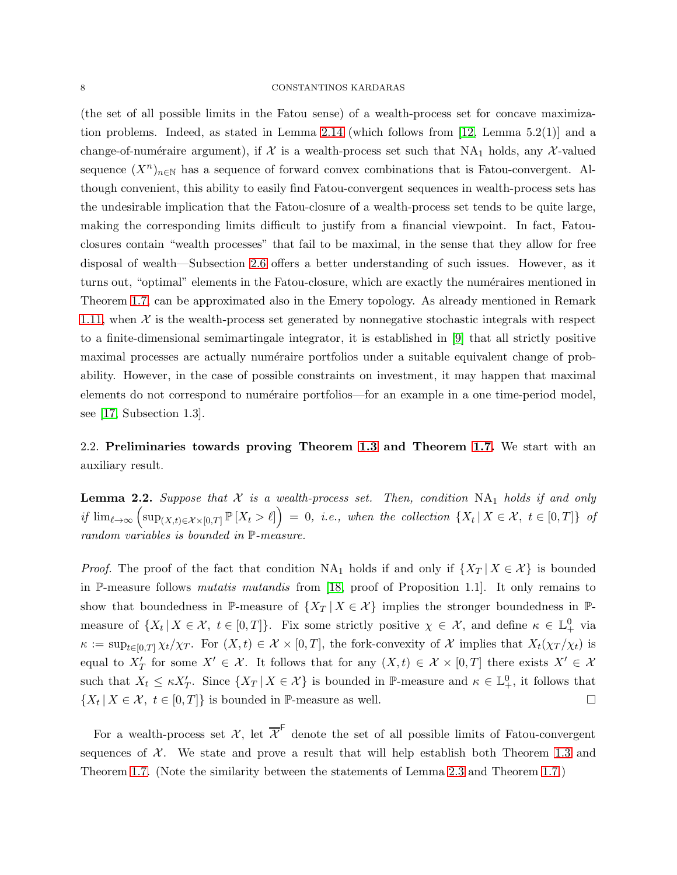(the set of all possible limits in the Fatou sense) of a wealth-process set for concave maximization problems. Indeed, as stated in Lemma [2.14](#page-16-0) (which follows from [\[12,](#page-19-12) Lemma 5.2(1)] and a change-of-numéraire argument), if X is a wealth-process set such that NA<sub>1</sub> holds, any X-valued sequence  $(X^n)_{n\in\mathbb{N}}$  has a sequence of forward convex combinations that is Fatou-convergent. Although convenient, this ability to easily find Fatou-convergent sequences in wealth-process sets has the undesirable implication that the Fatou-closure of a wealth-process set tends to be quite large, making the corresponding limits difficult to justify from a financial viewpoint. In fact, Fatouclosures contain "wealth processes" that fail to be maximal, in the sense that they allow for free disposal of wealth—Subsection [2.6](#page-15-0) offers a better understanding of such issues. However, as it turns out, "optimal" elements in the Fatou-closure, which are exactly the numéraires mentioned in Theorem [1.7,](#page-6-0) can be approximated also in the Emery topology. As already mentioned in Remark [1.11,](#page-6-1) when  $\mathcal X$  is the wealth-process set generated by nonnegative stochastic integrals with respect to a finite-dimensional semimartingale integrator, it is established in [\[9\]](#page-19-7) that all strictly positive maximal processes are actually numéraire portfolios under a suitable equivalent change of probability. However, in the case of possible constraints on investment, it may happen that maximal elements do not correspond to numéraire portfolios—for an example in a one time-period model, see [\[17,](#page-19-13) Subsection 1.3].

2.2. Preliminaries towards proving Theorem [1.3](#page-4-1) and Theorem [1.7.](#page-6-0) We start with an auxiliary result.

<span id="page-8-0"></span>Lemma 2.2. *Suppose that* X *is a wealth-process set. Then, condition* NA<sup>1</sup> *holds if and only*  $if \lim_{\ell \to \infty} ( \sup_{(X,t) \in \mathcal{X} \times [0,T]} \mathbb{P}[X_t > \ell] ) = 0, \ i.e., \ when \ the \ collection \ \{X_t \, | \, X \in \mathcal{X}, \ t \in [0,T] \} \ \ of$ *random variables is bounded in* P*-measure.*

*Proof.* The proof of the fact that condition  $NA_1$  holds if and only if  $\{X_T | X \in \mathcal{X}\}\$ is bounded in P-measure follows *mutatis mutandis* from [\[18,](#page-19-5) proof of Proposition 1.1]. It only remains to show that boundedness in P-measure of  $\{X_T | X \in \mathcal{X}\}\$ implies the stronger boundedness in Pmeasure of  $\{X_t | X \in \mathcal{X}, t \in [0,T]\}$ . Fix some strictly positive  $\chi \in \mathcal{X}$ , and define  $\kappa \in \mathbb{L}^0_+$  via  $\kappa := \sup_{t \in [0,T]} \chi_t/\chi_T$ . For  $(X,t) \in \mathcal{X} \times [0,T]$ , the fork-convexity of X implies that  $X_t(\chi_T/\chi_t)$  is equal to  $X'_T$  for some  $X' \in \mathcal{X}$ . It follows that for any  $(X,t) \in \mathcal{X} \times [0,T]$  there exists  $X' \in \mathcal{X}$ such that  $X_t \leq \kappa X'_T$ . Since  $\{X_T | X \in \mathcal{X}\}\$ is bounded in P-measure and  $\kappa \in \mathbb{L}^0_+$ , it follows that  $\{X_t | X \in \mathcal{X}, t \in [0,T]\}$  is bounded in P-measure as well.

For a wealth-process set  $\mathcal{X}$ , let  $\overline{\mathcal{X}}^{\mathsf{F}}$  denote the set of all possible limits of Fatou-convergent sequences of  $\mathcal{X}$ . We state and prove a result that will help establish both Theorem [1.3](#page-4-1) and Theorem [1.7.](#page-6-0) (Note the similarity between the statements of Lemma [2.3](#page-9-0) and Theorem [1.7.](#page-6-0))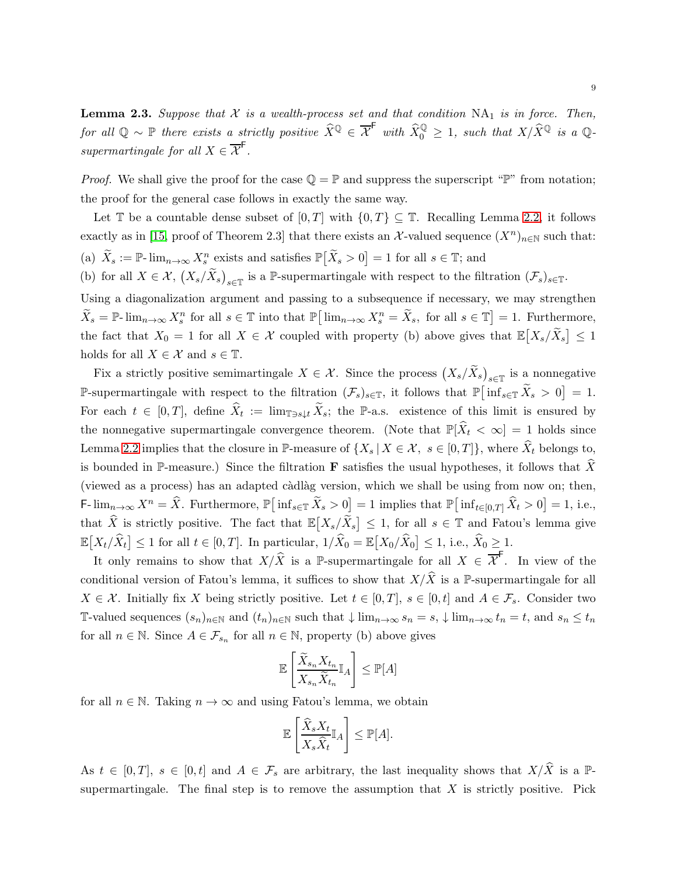<span id="page-9-0"></span>**Lemma 2.3.** Suppose that  $X$  is a wealth-process set and that condition  $NA_1$  is in force. Then,  $\int$ *for all*  $\mathbb{Q} \sim \mathbb{P}$  *there exists a strictly positive*  $\widehat{X}^{\mathbb{Q}} \in \overline{X}^{\mathbb{F}}$  *with*  $\widehat{X}_0^{\mathbb{Q}} \geq 1$ *, such that*  $X/\widehat{X}^{\mathbb{Q}}$  *is a*  $\mathbb{Q}$ *supermartingale for all*  $X \in \overline{\mathcal{X}}^{\mathsf{F}}$ .

*Proof.* We shall give the proof for the case  $\mathbb{Q} = \mathbb{P}$  and suppress the superscript "P" from notation; the proof for the general case follows in exactly the same way.

Let T be a countable dense subset of  $[0, T]$  with  $\{0, T\} \subseteq T$ . Recalling Lemma [2.2,](#page-8-0) it follows exactly as in [\[15,](#page-19-14) proof of Theorem 2.3] that there exists an X-valued sequence  $(X^n)_{n\in\mathbb{N}}$  such that: (a)  $\widetilde{X}_s := \mathbb{P} \text{-}\lim_{n \to \infty} X_s^n$  exists and satisfies  $\mathbb{P}[\widetilde{X}_s > 0] = 1$  for all  $s \in \mathbb{T}$ ; and (b) for all  $X \in \mathcal{X}$ ,  $(X_s/\widetilde{X}_s)_{s \in \mathbb{T}}$  is a P-supermartingale with respect to the filtration  $(\mathcal{F}_s)_{s \in \mathbb{T}}$ .

Using a diagonalization argument and passing to a subsequence if necessary, we may strengthen  $\widetilde{X}_s = \mathbb{P} \text{-}\lim_{n \to \infty} X_s^n$  for all  $s \in \mathbb{T}$  into that  $\mathbb{P} \big[ \lim_{n \to \infty} X_s^n = \widetilde{X}_s$ , for all  $s \in \mathbb{T} \big] = 1$ . Furthermore, the fact that  $X_0 = 1$  for all  $X \in \mathcal{X}$  coupled with property (b) above gives that  $\mathbb{E}[X_s/\widetilde{X}_s] \leq 1$ holds for all  $X \in \mathcal{X}$  and  $s \in \mathbb{T}$ .

Fix a strictly positive semimartingale  $X \in \mathcal{X}$ . Since the process  $(X_s/\widetilde{X}_s)_{s \in \mathbb{T}}$  is a nonnegative P-supermartingale with respect to the filtration  $(\mathcal{F}_s)_{s \in \mathbb{T}}$ , it follows that  $\mathbb{P} \left[ \inf_{s \in \mathbb{T}} \widetilde{X}_s > 0 \right] = 1$ . For each  $t \in [0,T]$ , define  $X_t := \lim_{T \ni s \downarrow t} X_s$ ; the P-a.s. existence of this limit is ensured by the nonnegative supermartingale convergence theorem. (Note that  $\mathbb{P}[\widehat{X}_t < \infty] = 1$  holds since Lemma [2.2](#page-8-0) implies that the closure in P-measure of  $\{X_s | X \in \mathcal{X}, s \in [0,T]\}$ , where  $\widehat{X}_t$  belongs to, is bounded in P-measure.) Since the filtration **F** satisfies the usual hypotheses, it follows that X (viewed as a process) has an adapted càdlàg version, which we shall be using from now on; then, F- $\lim_{n\to\infty} X^n = \hat{X}$ . Furthermore,  $\mathbb{P} \left[ \inf_{s\in\mathbb{T}} \tilde{X}_s > 0 \right] = 1$  implies that  $\mathbb{P} \left[ \inf_{t\in[0,T]} \hat{X}_t > 0 \right] = 1$ , i.e., that  $\widehat{X}$  is strictly positive. The fact that  $\mathbb{E}[X_s/\widetilde{X}_s] \leq 1$ , for all  $s \in \mathbb{T}$  and Fatou's lemma give  $\mathbb{E}[X_t/\widehat{X}_t] \leq 1$  for all  $t \in [0,T]$ . In particular,  $1/\widehat{X}_0 = \mathbb{E}[X_0/\widehat{X}_0] \leq 1$ , i.e.,  $\widehat{X}_0 \geq 1$ .

It only remains to show that  $X/\widehat{X}$  is a P-supermartingale for all  $X \in \overline{\mathcal{X}}^{\mathsf{F}}$ . In view of the conditional version of Fatou's lemma, it suffices to show that  $X/\widehat{X}$  is a P-supermartingale for all  $X \in \mathcal{X}$ . Initially fix X being strictly positive. Let  $t \in [0,T]$ ,  $s \in [0,t]$  and  $A \in \mathcal{F}_s$ . Consider two T-valued sequences  $(s_n)_{n\in\mathbb{N}}$  and  $(t_n)_{n\in\mathbb{N}}$  such that  $\downarrow \lim_{n\to\infty} s_n = s$ ,  $\downarrow \lim_{n\to\infty} t_n = t$ , and  $s_n \leq t_n$ for all  $n \in \mathbb{N}$ . Since  $A \in \mathcal{F}_{s_n}$  for all  $n \in \mathbb{N}$ , property (b) above gives

$$
\mathbb{E}\left[\frac{\widetilde{X}_{s_n}X_{t_n}}{X_{s_n}\widetilde{X}_{t_n}}\mathbb{I}_A\right] \leq \mathbb{P}[A]
$$

for all  $n \in \mathbb{N}$ . Taking  $n \to \infty$  and using Fatou's lemma, we obtain

$$
\mathbb{E}\left[\frac{\widehat{X}_sX_t}{X_s\widehat{X}_t}\mathbb{I}_A\right] \leq \mathbb{P}[A].
$$

As  $t \in [0, T], s \in [0, t]$  and  $A \in \mathcal{F}_s$  are arbitrary, the last inequality shows that  $X/\widehat{X}$  is a Psupermartingale. The final step is to remove the assumption that  $X$  is strictly positive. Pick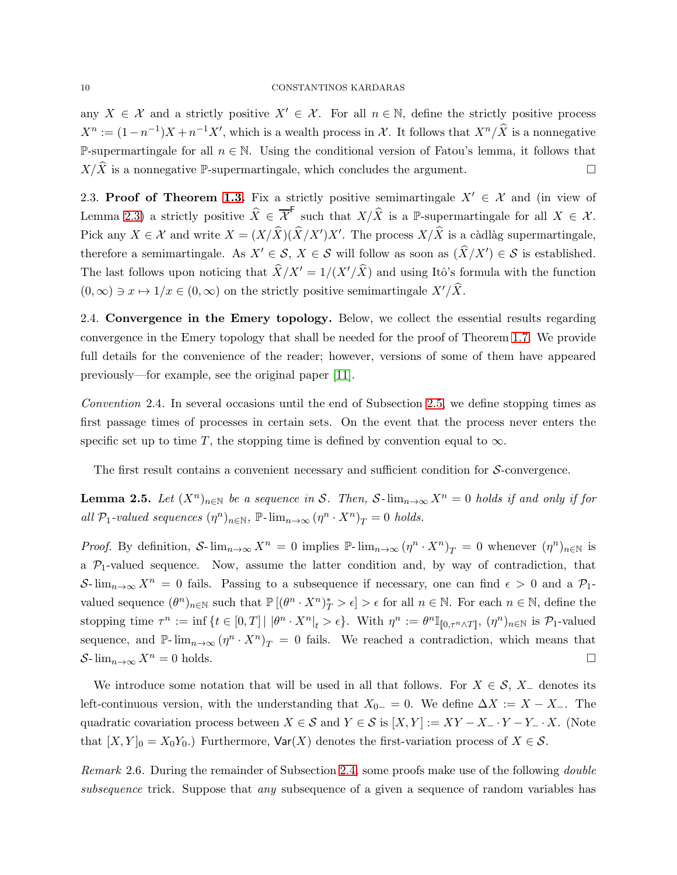any  $X \in \mathcal{X}$  and a strictly positive  $X' \in \mathcal{X}$ . For all  $n \in \mathbb{N}$ , define the strictly positive process  $X^n := (1 - n^{-1})X + n^{-1}X'$ , which is a wealth process in X. It follows that  $X^n/\widehat{X}$  is a nonnegative P-supermartingale for all  $n \in \mathbb{N}$ . Using the conditional version of Fatou's lemma, it follows that  $X/\widehat{X}$  is a nonnegative P-supermartingale, which concludes the argument.

2.3. Proof of Theorem [1.3.](#page-4-1) Fix a strictly positive semimartingale  $X' \in \mathcal{X}$  and (in view of Lemma [2.3\)](#page-9-0) a strictly positive  $\widehat{X} \in \overline{\mathcal{X}}^{\mathsf{F}}$  such that  $X/\widehat{X}$  is a P-supermartingale for all  $X \in \mathcal{X}$ . Pick any  $X \in \mathcal{X}$  and write  $X = (X/\hat{X})(\hat{X}/X')X'$ . The process  $X/\hat{X}$  is a càdlàg supermartingale, therefore a semimartingale. As  $X' \in S$ ,  $X \in S$  will follow as soon as  $(\widehat{X}/X') \in S$  is established. The last follows upon noticing that  $\hat{X}/X' = 1/(X'/\hat{X})$  and using Itô's formula with the function  $(0,\infty) \ni x \mapsto 1/x \in (0,\infty)$  on the strictly positive semimartingale  $X'/\widehat{X}$ .

<span id="page-10-0"></span>2.4. Convergence in the Emery topology. Below, we collect the essential results regarding convergence in the Emery topology that shall be needed for the proof of Theorem [1.7.](#page-6-0) We provide full details for the convenience of the reader; however, versions of some of them have appeared previously—for example, see the original paper [\[11\]](#page-19-4).

<span id="page-10-3"></span>*Convention* 2.4*.* In several occasions until the end of Subsection [2.5,](#page-13-1) we define stopping times as first passage times of processes in certain sets. On the event that the process never enters the specific set up to time T, the stopping time is defined by convention equal to  $\infty$ .

The first result contains a convenient necessary and sufficient condition for S-convergence.

<span id="page-10-1"></span>**Lemma 2.5.** Let  $(X^n)_{n\in\mathbb{N}}$  be a sequence in S. Then, S- $\lim_{n\to\infty} X^n = 0$  holds if and only if for *all*  $\mathcal{P}_1$ -valued sequences  $(\eta^n)_{n \in \mathbb{N}}$ ,  $\mathbb{P}$ - $\lim_{n \to \infty} (\eta^n \cdot X^n)_T = 0$  *holds.* 

*Proof.* By definition, S- $\lim_{n\to\infty} X^n = 0$  implies  $\mathbb{P}\text{-}\lim_{n\to\infty} (\eta^n \cdot X^n)_T = 0$  whenever  $(\eta^n)_{n\in\mathbb{N}}$  is a  $P_1$ -valued sequence. Now, assume the latter condition and, by way of contradiction, that S- $\lim_{n\to\infty} X^n = 0$  fails. Passing to a subsequence if necessary, one can find  $\epsilon > 0$  and a  $\mathcal{P}_1$ valued sequence  $(\theta^n)_{n\in\mathbb{N}}$  such that  $\mathbb{P}[(\theta^n \cdot X^n)^*_T > \epsilon] > \epsilon$  for all  $n \in \mathbb{N}$ . For each  $n \in \mathbb{N}$ , define the stopping time  $\tau^n := \inf \{ t \in [0,T] \mid |\theta^n \cdot X^n|_t > \epsilon \}.$  With  $\eta^n := \theta^n \mathbb{I}_{[0,\tau^n \wedge T]},$   $(\eta^n)_{n \in \mathbb{N}}$  is  $\mathcal{P}_1$ -valued sequence, and  $\mathbb{P}\text{-}\lim_{n\to\infty}(\eta^n\cdot X^n)_T=0$  fails. We reached a contradiction, which means that  $\mathcal{S}\text{-}\lim_{n\to\infty}X^n=0$  holds.

We introduce some notation that will be used in all that follows. For  $X \in \mathcal{S}$ ,  $X_-\$  denotes its left-continuous version, with the understanding that  $X_{0-} = 0$ . We define  $\Delta X := X - X_-\$ . The quadratic covariation process between  $X \in \mathcal{S}$  and  $Y \in \mathcal{S}$  is  $[X, Y] := XY - X - Y - Y - X$ . (Note that  $[X, Y]_0 = X_0Y_0$ .) Furthermore,  $\text{Var}(X)$  denotes the first-variation process of  $X \in \mathcal{S}$ .

<span id="page-10-2"></span>*Remark* 2.6*.* During the remainder of Subsection [2.4,](#page-10-0) some proofs make use of the following *double subsequence* trick. Suppose that *any* subsequence of a given a sequence of random variables has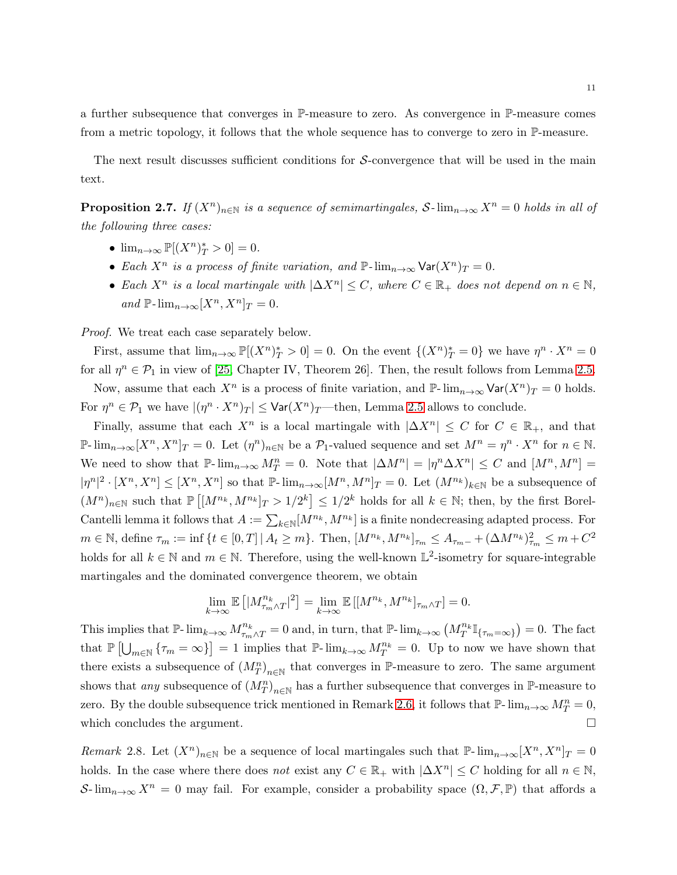a further subsequence that converges in P-measure to zero. As convergence in P-measure comes from a metric topology, it follows that the whole sequence has to converge to zero in P-measure.

The next result discusses sufficient conditions for S-convergence that will be used in the main text.

<span id="page-11-0"></span>**Proposition 2.7.** *If*  $(X^n)_{n\in\mathbb{N}}$  *is a sequence of semimartingales,*  $S$ - $\lim_{n\to\infty} X^n = 0$  *holds in all of the following three cases:*

- $\lim_{n \to \infty} \mathbb{P}[(X^n)_T^* > 0] = 0.$
- Each  $X^n$  is a process of finite variation, and  $\mathbb{P}\text{-}\lim_{n\to\infty} \text{Var}(X^n)_T = 0$ .
- Each  $X^n$  is a local martingale with  $|\Delta X^n| \leq C$ , where  $C \in \mathbb{R}_+$  does not depend on  $n \in \mathbb{N}$ ,  $and \mathbb{P}\text{-}\lim_{n\to\infty} [X^n, X^n]_T = 0.$

*Proof.* We treat each case separately below.

First, assume that  $\lim_{n\to\infty} \mathbb{P}[(X^n)^*_T > 0] = 0$ . On the event  $\{(X^n)^*_T = 0\}$  we have  $\eta^n \cdot X^n = 0$ for all  $\eta^n \in \mathcal{P}_1$  in view of [\[25,](#page-20-8) Chapter IV, Theorem 26]. Then, the result follows from Lemma [2.5.](#page-10-1) Now, assume that each  $X^n$  is a process of finite variation, and  $\mathbb{P}\text{-}\lim_{n\to\infty} \text{Var}(X^n)_T = 0$  holds.

For  $\eta^n \in \mathcal{P}_1$  we have  $|(\eta^n \cdot X^n)_T| \leq \text{Var}(X^n)_T$ —then, Lemma [2.5](#page-10-1) allows to conclude.

Finally, assume that each  $X^n$  is a local martingale with  $|\Delta X^n| \leq C$  for  $C \in \mathbb{R}_+$ , and that  $\mathbb{P}\text{-}\lim_{n\to\infty}[X^n, X^n]_T=0.$  Let  $(\eta^n)_{n\in\mathbb{N}}$  be a  $\mathcal{P}_1$ -valued sequence and set  $M^n=\eta^n\cdot X^n$  for  $n\in\mathbb{N}$ . We need to show that  $\mathbb{P}\text{-}\lim_{n\to\infty}M_T^n=0$ . Note that  $|\Delta M^n|=|\eta^n\Delta X^n|\leq C$  and  $[M^n,M^n]=$  $|\eta^n|^2 \cdot [X^n, X^n] \le [X^n, X^n]$  so that  $\mathbb{P}\text{-}\lim_{n\to\infty} [M^n, M^n]_T = 0$ . Let  $(M^{n_k})_{k\in\mathbb{N}}$  be a subsequence of  $(M^n)_{n\in\mathbb{N}}$  such that  $\mathbb{P}\left[\left[M^{n_k}, M^{n_k}\right]_T > 1/2^k\right] \leq 1/2^k$  holds for all  $k \in \mathbb{N}$ ; then, by the first Borel-Cantelli lemma it follows that  $A := \sum_{k \in \mathbb{N}} [M^{n_k}, M^{n_k}]$  is a finite nondecreasing adapted process. For  $m \in \mathbb{N}$ , define  $\tau_m := \inf \{ t \in [0, T] \, | \, A_t \geq m \}$ . Then,  $[M^{n_k}, M^{n_k}]_{\tau_m} \leq A_{\tau_m-} + (\Delta M^{n_k})_{\tau_m}^2 \leq m + C^2$ holds for all  $k \in \mathbb{N}$  and  $m \in \mathbb{N}$ . Therefore, using the well-known  $\mathbb{L}^2$ -isometry for square-integrable martingales and the dominated convergence theorem, we obtain

$$
\lim_{k \to \infty} \mathbb{E}\left[ |M^{n_k}_{\tau_m \wedge T}|^2 \right] = \lim_{k \to \infty} \mathbb{E}\left[ [M^{n_k}, M^{n_k} ]_{\tau_m \wedge T} \right] = 0.
$$

This implies that  $\mathbb{P}\text{-}\lim_{k\to\infty}M^{n_k}_{\tau_m\wedge T}=0$  and, in turn, that  $\mathbb{P}\text{-}\lim_{k\to\infty}\left(M^{n_k}_{T}\mathbb{I}_{\{\tau_m=\infty\}}\right)=0$ . The fact that  $\mathbb{P} \left[\bigcup_{m\in\mathbb{N}}\left\{\tau_m=\infty\right\}\right]=1$  implies that  $\mathbb{P}\text{-}\lim_{k\to\infty}M_T^{n_k}=0$ . Up to now we have shown that there exists a subsequence of  $(M^n_T)_{n\in\mathbb{N}}$  that converges in P-measure to zero. The same argument shows that *any* subsequence of  $(M_T^n)_{n \in \mathbb{N}}$  has a further subsequence that converges in P-measure to zero. By the double subsequence trick mentioned in Remark [2.6,](#page-10-2) it follows that  $\mathbb{P}\text{-}\lim_{n\to\infty}M_T^n=0$ , which concludes the argument.

*Remark* 2.8. Let  $(X^n)_{n\in\mathbb{N}}$  be a sequence of local martingales such that  $\mathbb{P}\text{-}\lim_{n\to\infty} [X^n, X^n]_T = 0$ holds. In the case where there does *not* exist any  $C \in \mathbb{R}_+$  with  $|\Delta X^n| \leq C$  holding for all  $n \in \mathbb{N}$ , S- $\lim_{n\to\infty} X^n = 0$  may fail. For example, consider a probability space  $(\Omega, \mathcal{F}, \mathbb{P})$  that affords a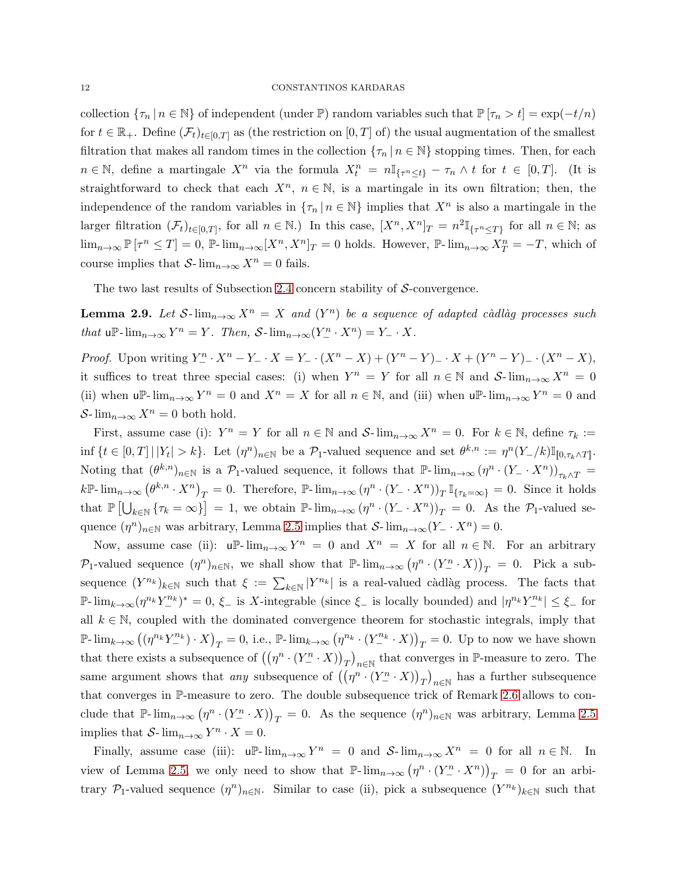collection  $\{\tau_n | n \in \mathbb{N}\}\$  of independent (under  $\mathbb{P}$ ) random variables such that  $\mathbb{P}[\tau_n > t] = \exp(-t/n)$ for  $t \in \mathbb{R}_+$ . Define  $(\mathcal{F}_t)_{t\in[0,T]}$  as (the restriction on  $[0,T]$  of) the usual augmentation of the smallest filtration that makes all random times in the collection  $\{\tau_n | n \in \mathbb{N}\}\$  stopping times. Then, for each  $n \in \mathbb{N}$ , define a martingale  $X^n$  via the formula  $X_t^n = n \mathbb{I}_{\{\tau^n \leq t\}} - \tau_n \wedge t$  for  $t \in [0, T]$ . (It is straightforward to check that each  $X^n$ ,  $n \in \mathbb{N}$ , is a martingale in its own filtration; then, the independence of the random variables in  $\{\tau_n | n \in \mathbb{N}\}\$ implies that  $X^n$  is also a martingale in the larger filtration  $(\mathcal{F}_t)_{t\in[0,T]}$ , for all  $n \in \mathbb{N}$ .) In this case,  $[X^n, X^n]_T = n^2 \mathbb{I}_{\{\tau^n \le T\}}$  for all  $n \in \mathbb{N}$ ; as  $\lim_{n\to\infty} \mathbb{P}[\tau^n \leq T] = 0$ ,  $\mathbb{P}\text{-}\lim_{n\to\infty} [X^n, X^n]_T = 0$  holds. However,  $\mathbb{P}\text{-}\lim_{n\to\infty} X^n_T = -T$ , which of course implies that S-  $\lim_{n\to\infty} X^n = 0$  fails.

The two last results of Subsection [2.4](#page-10-0) concern stability of  $S$ -convergence.

<span id="page-12-0"></span>**Lemma 2.9.** Let  $S$ - $\lim_{n\to\infty} X^n = X$  and  $(Y^n)$  be a sequence of adapted càdlàg processes such *that*  $\mathsf{u} \mathbb{P} \text{-} \lim_{n \to \infty} Y^n = Y$ *. Then,*  $\mathcal{S} \text{-} \lim_{n \to \infty} (Y^n - X^n) = Y - X$ *.* 

*Proof.* Upon writing  $Y_{-}^{n} \cdot X^{n} - Y_{-} \cdot X = Y_{-} \cdot (X^{n} - X) + (Y^{n} - Y)_{-} \cdot X + (Y^{n} - Y)_{-} \cdot (X^{n} - X),$ it suffices to treat three special cases: (i) when  $Y^n = Y$  for all  $n \in \mathbb{N}$  and  $S$ - $\lim_{n\to\infty} X^n = 0$ (ii) when  $u\mathbb{P}\text{-}\lim_{n\to\infty}Y^n=0$  and  $X^n=X$  for all  $n\in\mathbb{N}$ , and (iii) when  $u\mathbb{P}\text{-}\lim_{n\to\infty}Y^n=0$  and  $S$ - lim<sub>n→∞</sub>  $X^n = 0$  both hold.

First, assume case (i):  $Y^n = Y$  for all  $n \in \mathbb{N}$  and  $S$ - $\lim_{n \to \infty} X^n = 0$ . For  $k \in \mathbb{N}$ , define  $\tau_k :=$  $\inf \{ t \in [0,T] \, | \, |Y_t| > k \}.$  Let  $(\eta^n)_{n \in \mathbb{N}}$  be a  $\mathcal{P}_1$ -valued sequence and set  $\theta^{k,n} := \eta^n (Y_-/k) \mathbb{I}_{[0,\tau_k \wedge T]}.$ Noting that  $(\theta^{k,n})_{n\in\mathbb{N}}$  is a  $\mathcal{P}_1$ -valued sequence, it follows that  $\mathbb{P}\text{-}\lim_{n\to\infty}(\eta^n\cdot(Y_-\cdot X^n))_{\tau_k\wedge T}$  $k\mathbb{P}\text{-}\lim_{n\to\infty}\left(\theta^{k,n}\cdot X^n\right)_T=0.$  Therefore,  $\mathbb{P}\text{-}\lim_{n\to\infty}\left(\eta^n\cdot (Y_-\cdot X^n)\right)_T\mathbb{I}_{\{\tau_k=\infty\}}=0.$  Since it holds that  $\mathbb{P}[\bigcup_{k\in\mathbb{N}}\{\tau_k=\infty\}] = 1$ , we obtain  $\mathbb{P}\text{-}\lim_{n\to\infty}(\eta^n\cdot(Y_-\cdot X^n))_T = 0$ . As the  $\mathcal{P}_1$ -valued sequence  $(\eta^n)_{n\in\mathbb{N}}$  was arbitrary, Lemma [2.5](#page-10-1) implies that  $S$ - $\lim_{n\to\infty} (Y - \cdot X^n) = 0$ .

Now, assume case (ii):  $u \mathbb{P}$ - $\lim_{n\to\infty} Y^n = 0$  and  $X^n = X$  for all  $n \in \mathbb{N}$ . For an arbitrary P<sub>1</sub>-valued sequence  $(\eta^n)_{n\in\mathbb{N}}$ , we shall show that  $\mathbb{P}\text{-}\lim_{n\to\infty} (\eta^n \cdot (Y^n - X))_T = 0$ . Pick a subsequence  $(Y^{n_k})_{k\in\mathbb{N}}$  such that  $\xi := \sum_{k\in\mathbb{N}} |Y^{n_k}|$  is a real-valued càdlàg process. The facts that  $\mathbb{P}\text{-}\lim_{k\to\infty}(\eta^{n_k}Y_{-}^{n_k})^* = 0, \xi_{-}$  is X-integrable (since  $\xi_{-}$  is locally bounded) and  $|\eta^{n_k}Y_{-}^{n_k}| \leq \xi_{-}$  for all  $k \in \mathbb{N}$ , coupled with the dominated convergence theorem for stochastic integrals, imply that  $\mathbb{P}\text{-}\lim_{k\to\infty}\left(\left(\eta^{n_k}Y^{n_k}_-\right)\cdot X\right)_T=0$ , i.e.,  $\mathbb{P}\text{-}\lim_{k\to\infty}\left(\eta^{n_k}\cdot(Y^{n_k}_-\cdot X)\right)_T=0$ . Up to now we have shown that there exists a subsequence of  $((\eta^n \cdot (Y^n - X))_T)_{n \in \mathbb{N}}$  that converges in P-measure to zero. The same argument shows that *any* subsequence of  $((\eta^n \cdot (Y^n - X))_T)_{n \in \mathbb{N}}$  has a further subsequence that converges in P-measure to zero. The double subsequence trick of Remark [2.6](#page-10-2) allows to conclude that  $\mathbb{P}\text{-}\lim_{n\to\infty}(\eta^n\cdot(Y^n-\cdot X))_T=0$ . As the sequence  $(\eta^n)_{n\in\mathbb{N}}$  was arbitrary, Lemma [2.5](#page-10-1) implies that  $S$ -  $\lim_{n\to\infty} Y^n \cdot X = 0$ .

Finally, assume case (iii):  $u \mathbb{P} \text{-} \lim_{n \to \infty} Y^n = 0$  and  $\mathcal{S} \text{-} \lim_{n \to \infty} X^n = 0$  for all  $n \in \mathbb{N}$ . In view of Lemma [2.5,](#page-10-1) we only need to show that  $\mathbb{P}\text{-}\lim_{n\to\infty}(\eta^n\cdot(Y^n_{-}\cdot X^n))_T=0$  for an arbitrary  $\mathcal{P}_1$ -valued sequence  $(\eta^n)_{n\in\mathbb{N}}$ . Similar to case (ii), pick a subsequence  $(Y^{n_k})_{k\in\mathbb{N}}$  such that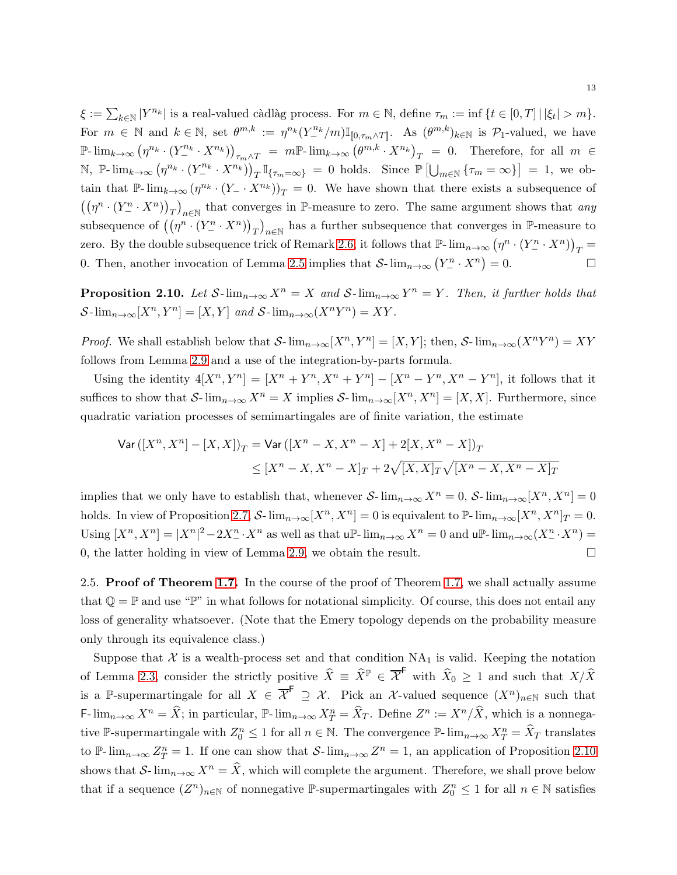$\xi := \sum_{k \in \mathbb{N}} |Y^{n_k}|$  is a real-valued càdlàg process. For  $m \in \mathbb{N}$ , define  $\tau_m := \inf \{ t \in [0, T] \mid |\xi_t| > m \}$ . For  $m \in \mathbb{N}$  and  $k \in \mathbb{N}$ , set  $\theta^{m,k} := \eta^{n_k} (Y_{-}^{n_k}/m) \mathbb{I}_{[0,\tau_m \wedge T]}$ . As  $(\theta^{m,k})_{k \in \mathbb{N}}$  is  $\mathcal{P}_1$ -valued, we have  $\mathbb{P}\text{-}\lim_{k\to\infty}\left(\eta^{n_k}\cdot(Y^{n_k}_-\cdot X^{n_k})\right)_{\tau_m\wedge T} = m\mathbb{P}\text{-}\lim_{k\to\infty}\left(\theta^{m,k}\cdot X^{n_k}\right)_T = 0.$  Therefore, for all  $m \in$  $\mathbb{N}, \ \mathbb{P}\text{-}\lim_{k\to\infty}\left(\eta^{n_k}\cdot(Y^{n_k}_- \cdot X^{n_k})\right)_T \mathbb{I}_{\{\tau_m=\infty\}}\ =\ 0$  holds. Since  $\mathbb{P}\left[\bigcup_{m\in\mathbb{N}}\{\tau_m=\infty\}\right]\ =\ 1$ , we obtain that  $\mathbb{P}\text{-}\lim_{k\to\infty}(\eta^{n_k}\cdot(Y-\cdot X^{n_k}))_T=0$ . We have shown that there exists a subsequence of  $((\eta^n \cdot (Y^n - X^n))_T)_{n \in \mathbb{N}}$  that converges in P-measure to zero. The same argument shows that *any* subsequence of  $((\eta^n \cdot (Y^n - X^n))_T)_{n \in \mathbb{N}}$  has a further subsequence that converges in P-measure to zero. By the double subsequence trick of Remark [2.6,](#page-10-2) it follows that  $\mathbb{P}\text{-}\lim_{n\to\infty}(\eta^n\cdot(Y^n-\cdot X^n))_T=$ 0. Then, another invocation of Lemma [2.5](#page-10-1) implies that  $S$ -  $\lim_{n\to\infty} (Y^n - X^n) = 0$ .

<span id="page-13-0"></span>**Proposition 2.10.** Let  $S$ - $\lim_{n\to\infty} X^n = X$  and  $S$ - $\lim_{n\to\infty} Y^n = Y$ . Then, it further holds that  $\mathcal{S}\text{-}\lim_{n\to\infty}[X^n, Y^n] = [X, Y]$  and  $\mathcal{S}\text{-}\lim_{n\to\infty}(X^n Y^n) = XY$ .

*Proof.* We shall establish below that  $S$ -  $\lim_{n\to\infty} [X^n, Y^n] = [X, Y]$ ; then,  $S$ -  $\lim_{n\to\infty} (X^n Y^n) = XY$ follows from Lemma [2.9](#page-12-0) and a use of the integration-by-parts formula.

Using the identity  $4[X^n, Y^n] = [X^n + Y^n, X^n + Y^n] - [X^n - Y^n, X^n - Y^n]$ , it follows that it suffices to show that  $S$ -  $\lim_{n\to\infty} X^n = X$  implies  $S$ -  $\lim_{n\to\infty} [X^n, X^n] = [X, X]$ . Furthermore, since quadratic variation processes of semimartingales are of finite variation, the estimate

$$
\begin{aligned} \textsf{Var}\left( [X^n, X^n] - [X, X] \right)_T &= \textsf{Var}\left( [X^n - X, X^n - X] + 2[X, X^n - X] \right)_T \\ &\le [X^n - X, X^n - X]_T + 2\sqrt{[X, X]_T}\sqrt{[X^n - X, X^n - X]_T} \end{aligned}
$$

implies that we only have to establish that, whenever S- $\lim_{n\to\infty} X^n = 0$ , S- $\lim_{n\to\infty} [X^n, X^n] = 0$ holds. In view of Proposition [2.7,](#page-11-0) S- $\lim_{n\to\infty} [X^n, X^n] = 0$  is equivalent to  $\mathbb{P}\text{-}\lim_{n\to\infty} [X^n, X^n]_T = 0$ . Using  $[X^n, X^n] = |X^n|^2 - 2X^n - X^n$  as well as that  $u \mathbb{P}$ - $\lim_{n\to\infty} X^n = 0$  and  $u \mathbb{P}$ - $\lim_{n\to\infty} (X^n - X^n) =$ 0, the latter holding in view of Lemma [2.9,](#page-12-0) we obtain the result.

<span id="page-13-1"></span>2.5. Proof of Theorem [1.7.](#page-6-0) In the course of the proof of Theorem [1.7,](#page-6-0) we shall actually assume that  $\mathbb{Q} = \mathbb{P}$  and use " $\mathbb{P}$ " in what follows for notational simplicity. Of course, this does not entail any loss of generality whatsoever. (Note that the Emery topology depends on the probability measure only through its equivalence class.)

Suppose that  $\mathcal X$  is a wealth-process set and that condition NA<sub>1</sub> is valid. Keeping the notation of Lemma [2.3,](#page-9-0) consider the strictly positive  $\widehat{X} = \widehat{X}^{\mathbb{P}} \in \overline{\mathcal{X}}^{\mathsf{F}}$  with  $\widehat{X}_0 \geq 1$  and such that  $X/\widehat{X}$ is a P-supermartingale for all  $X \in \overline{\mathcal{X}}^{\mathsf{F}} \supseteq \mathcal{X}$ . Pick an X-valued sequence  $(X^n)_{n\in\mathbb{N}}$  such that F- $\lim_{n\to\infty} X^n = \hat{X}$ ; in particular, P- $\lim_{n\to\infty} X_T^n = \hat{X}_T$ . Define  $Z^n := X^n/\hat{X}$ , which is a nonnegative P-supermartingale with  $Z_0^n \leq 1$  for all  $n \in \mathbb{N}$ . The convergence P- $\lim_{n\to\infty} X_T^n = \hat{X}_T$  translates to  $\mathbb{P}\text{-}\lim_{n\to\infty}Z^n_T=1$ . If one can show that  $S\text{-}\lim_{n\to\infty}Z^n=1$ , an application of Proposition [2.10](#page-13-0) shows that S-  $\lim_{n\to\infty} X^n = \widehat{X}$ , which will complete the argument. Therefore, we shall prove below that if a sequence  $(Z^n)_{n\in\mathbb{N}}$  of nonnegative P-supermartingales with  $Z_0^n \leq 1$  for all  $n \in \mathbb{N}$  satisfies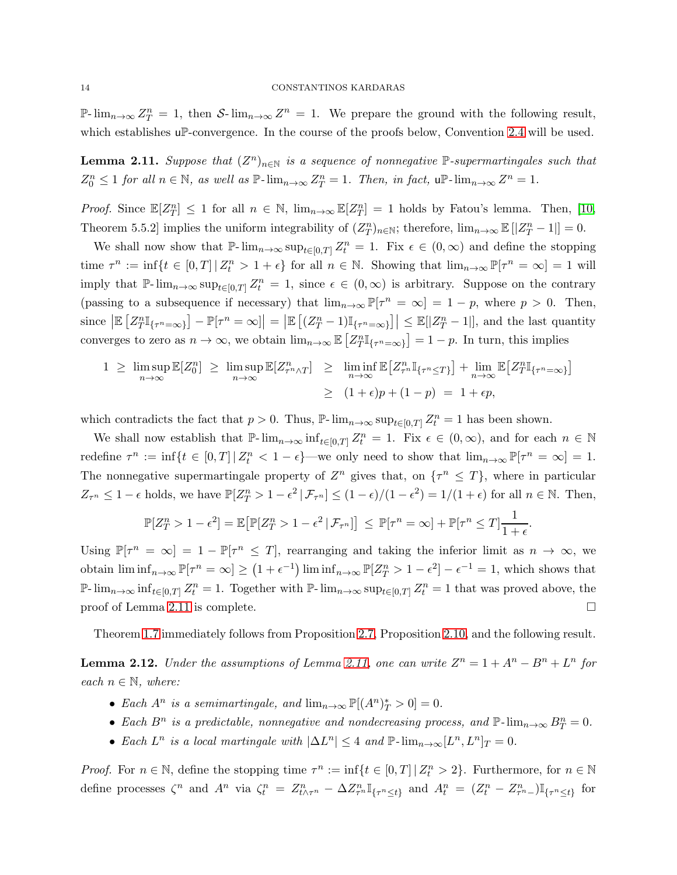$\mathbb{P}\text{-}\lim_{n\to\infty}Z^n = 1$ , then S- $\lim_{n\to\infty}Z^n = 1$ . We prepare the ground with the following result, which establishes  $\mathsf{u}\mathbb{P}\text{-}\text{convergence}$ . In the course of the proofs below, Convention [2.4](#page-10-3) will be used.

<span id="page-14-0"></span>**Lemma 2.11.** Suppose that  $(Z^n)_{n\in\mathbb{N}}$  is a sequence of nonnegative  $\mathbb{P}$ -supermartingales such that  $Z_0^n \leq 1$  *for all*  $n \in \mathbb{N}$ *, as well as*  $\mathbb{P}$ - $\lim_{n \to \infty} Z_T^n = 1$ *. Then, in fact,*  $\lim_{n \to \infty} Z^n = 1$ *.* 

*Proof.* Since  $\mathbb{E}[Z_T^n] \leq 1$  for all  $n \in \mathbb{N}$ ,  $\lim_{n\to\infty} \mathbb{E}[Z_T^n] = 1$  holds by Fatou's lemma. Then, [\[10,](#page-19-15) Theorem 5.5.2] implies the uniform integrability of  $(Z_T^n)_{n \in \mathbb{N}}$ ; therefore,  $\lim_{n\to\infty} \mathbb{E}[|Z_T^n - 1|] = 0$ .

We shall now show that  $\mathbb{P}\lim_{n\to\infty} \sup_{t\in[0,T]} Z_t^n = 1$ . Fix  $\epsilon \in (0,\infty)$  and define the stopping time  $\tau^n := \inf\{t \in [0,T] \mid Z_t^n > 1 + \epsilon\}$  for all  $n \in \mathbb{N}$ . Showing that  $\lim_{n \to \infty} \mathbb{P}[\tau^n = \infty] = 1$  will imply that  $\mathbb{P}\text{-}\lim_{n\to\infty} \sup_{t\in[0,T]} Z_t^n = 1$ , since  $\epsilon \in (0,\infty)$  is arbitrary. Suppose on the contrary (passing to a subsequence if necessary) that  $\lim_{n\to\infty} \mathbb{P}[\tau^n = \infty] = 1 - p$ , where  $p > 0$ . Then, since  $\left|\mathbb{E}\left[Z_T^n\mathbb{I}_{\{\tau^n=\infty\}}\right]-\mathbb{P}[\tau^n=\infty]\right|=\left|\mathbb{E}\left[(Z_T^n-1)\mathbb{I}_{\{\tau^n=\infty\}}\right]\right|\leq \mathbb{E}[|Z_T^n-1|]$ , and the last quantity converges to zero as  $n \to \infty$ , we obtain  $\lim_{n \to \infty} \mathbb{E}\left[Z_T^n \mathbb{I}_{\{\tau^n=\infty\}}\right] = 1 - p$ . In turn, this implies

$$
1 \geq \limsup_{n \to \infty} \mathbb{E}[Z_0^n] \geq \limsup_{n \to \infty} \mathbb{E}[Z_{\tau^n \wedge T}^n] \geq \liminf_{n \to \infty} \mathbb{E}[Z_{\tau^n}^n \mathbb{I}_{\{\tau^n \leq T\}}] + \lim_{n \to \infty} \mathbb{E}[Z_{T}^n \mathbb{I}_{\{\tau^n = \infty\}}]
$$
  

$$
\geq (1 + \epsilon)p + (1 - p) = 1 + \epsilon p,
$$

which contradicts the fact that  $p > 0$ . Thus,  $\mathbb{P}\text{-}\lim_{n\to\infty} \sup_{t\in[0,T]} Z_t^n = 1$  has been shown.

We shall now establish that  $\mathbb{P}\text{-}\lim_{n\to\infty} \inf_{t\in[0,T]} Z_t^n = 1$ . Fix  $\epsilon \in (0,\infty)$ , and for each  $n \in \mathbb{N}$ redefine  $\tau^n := \inf\{t \in [0,T] \mid Z_t^n < 1 - \epsilon\}$ —we only need to show that  $\lim_{n \to \infty} \mathbb{P}[\tau^n = \infty] = 1$ . The nonnegative supermartingale property of  $Z^n$  gives that, on  $\{\tau^n \leq T\}$ , where in particular  $Z_{\tau^n} \leq 1 - \epsilon$  holds, we have  $\mathbb{P}[Z_T^n > 1 - \epsilon^2 | \mathcal{F}_{\tau^n}] \leq (1 - \epsilon)/(1 - \epsilon^2) = 1/(1 + \epsilon)$  for all  $n \in \mathbb{N}$ . Then,

$$
\mathbb{P}[Z_T^n > 1 - \epsilon^2] = \mathbb{E}\big[\mathbb{P}[Z_T^n > 1 - \epsilon^2 \,|\, \mathcal{F}_{\tau^n}] \big] \le \mathbb{P}[\tau^n = \infty] + \mathbb{P}[\tau^n \le T] \frac{1}{1 + \epsilon}.
$$

Using  $\mathbb{P}[\tau^n = \infty] = 1 - \mathbb{P}[\tau^n \leq T]$ , rearranging and taking the inferior limit as  $n \to \infty$ , we obtain  $\liminf_{n\to\infty} \mathbb{P}[\tau^n = \infty] \ge (1 + \epsilon^{-1}) \liminf_{n\to\infty} \mathbb{P}[Z_T^n > 1 - \epsilon^2] - \epsilon^{-1} = 1$ , which shows that  $\mathbb{P}\text{-}\lim_{n\to\infty} \inf_{t\in[0,T]} Z_t^n = 1.$  Together with  $\mathbb{P}\text{-}\lim_{n\to\infty} \sup_{t\in[0,T]} Z_t^n = 1$  that was proved above, the proof of Lemma [2.11](#page-14-0) is complete.

Theorem [1.7](#page-6-0) immediately follows from Proposition [2.7,](#page-11-0) Proposition [2.10,](#page-13-0) and the following result.

**Lemma 2.12.** *Under the assumptions of Lemma [2.11,](#page-14-0) one can write*  $Z^n = 1 + A^n - B^n + L^n$  for  $each n ∈ ℕ$ *, where:* 

- Each  $A^n$  is a semimartingale, and  $\lim_{n\to\infty} \mathbb{P}[(A^n)_T^* > 0] = 0$ .
- Each  $B^n$  is a predictable, nonnegative and nondecreasing process, and  $\mathbb{P}\text{-}\lim_{n\to\infty}B^n_T=0$ .
- Each  $L^n$  is a local martingale with  $|\Delta L^n| \leq 4$  and  $\mathbb{P}\text{-}\lim_{n\to\infty} [L^n, L^n]_T = 0$ .

*Proof.* For  $n \in \mathbb{N}$ , define the stopping time  $\tau^n := \inf\{t \in [0,T] \mid Z_t^n > 2\}$ . Furthermore, for  $n \in \mathbb{N}$ define processes  $\zeta^n$  and  $A^n$  via  $\zeta_t^n = Z_{t \wedge \tau^n}^n - \Delta Z_{\tau^n}^n \mathbb{I}_{\{\tau^n \leq t\}}$  and  $A_t^n = (Z_t^n - Z_{\tau^n}^n) \mathbb{I}_{\{\tau^n \leq t\}}$  for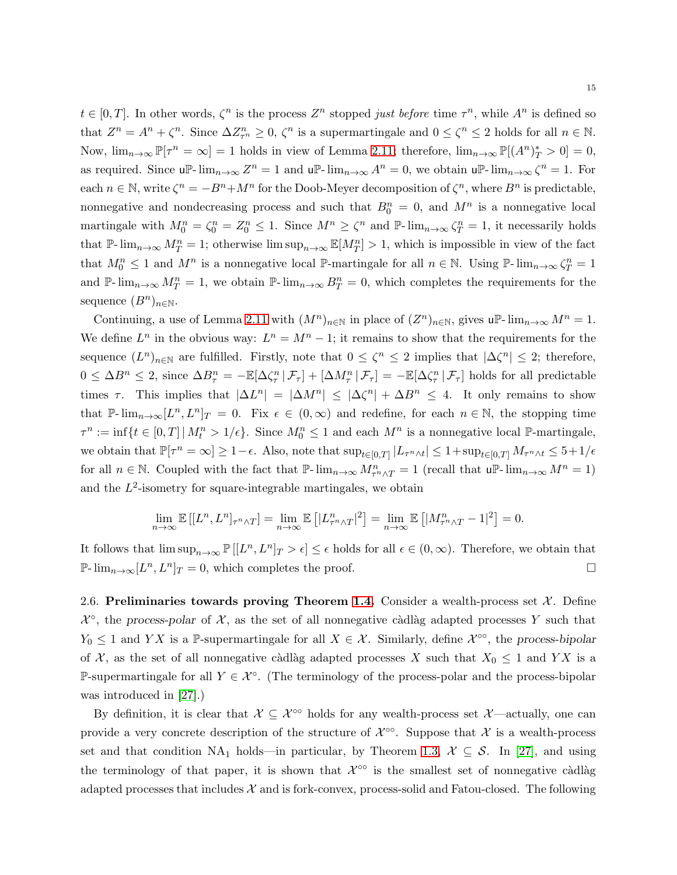$t \in [0,T]$ . In other words,  $\zeta^n$  is the process  $Z^n$  stopped *just before* time  $\tau^n$ , while  $A^n$  is defined so that  $Z^n = A^n + \zeta^n$ . Since  $\Delta Z^n_{\tau^n} \geq 0$ ,  $\zeta^n$  is a supermartingale and  $0 \leq \zeta^n \leq 2$  holds for all  $n \in \mathbb{N}$ . Now,  $\lim_{n\to\infty} \mathbb{P}[\tau^n = \infty] = 1$  holds in view of Lemma [2.11;](#page-14-0) therefore,  $\lim_{n\to\infty} \mathbb{P}[(A^n)^*_T > 0] = 0$ , as required. Since  $u \mathbb{P}$ - $\lim_{n\to\infty} Z^n = 1$  and  $u \mathbb{P}$ - $\lim_{n\to\infty} A^n = 0$ , we obtain  $u \mathbb{P}$ - $\lim_{n\to\infty} \zeta^n = 1$ . For each  $n \in \mathbb{N}$ , write  $\zeta^n = -B^n + M^n$  for the Doob-Meyer decomposition of  $\zeta^n$ , where  $B^n$  is predictable, nonnegative and nondecreasing process and such that  $B_0^n = 0$ , and  $M^n$  is a nonnegative local martingale with  $M_0^n = \zeta_0^n = Z_0^n \le 1$ . Since  $M^n \ge \zeta^n$  and  $\mathbb{P}\text{-}\lim_{n\to\infty} \zeta_T^n = 1$ , it necessarily holds that  $\mathbb{P}\text{-}\lim_{n\to\infty}M_T^n=1$ ; otherwise  $\limsup_{n\to\infty}\mathbb{E}[M_T^n]>1$ , which is impossible in view of the fact that  $M_0^n \leq 1$  and  $M^n$  is a nonnegative local P-martingale for all  $n \in \mathbb{N}$ . Using P- $\lim_{n\to\infty} \zeta_T^n = 1$ and  $\mathbb{P}\text{-}\lim_{n\to\infty}M_T^n=1$ , we obtain  $\mathbb{P}\text{-}\lim_{n\to\infty}B_T^n=0$ , which completes the requirements for the sequence  $(B^n)_{n\in\mathbb{N}}$ .

Continuing, a use of Lemma [2.11](#page-14-0) with  $(M^n)_{n\in\mathbb{N}}$  in place of  $(Z^n)_{n\in\mathbb{N}}$ , gives  $u\mathbb{P}\text{-}\lim_{n\to\infty}M^n=1$ . We define  $L^n$  in the obvious way:  $L^n = M^n - 1$ ; it remains to show that the requirements for the sequence  $(L^n)_{n\in\mathbb{N}}$  are fulfilled. Firstly, note that  $0 \leq \zeta^n \leq 2$  implies that  $|\Delta\zeta^n| \leq 2$ ; therefore,  $0 \leq \Delta B^n \leq 2$ , since  $\Delta B^n_{\tau} = -\mathbb{E}[\Delta \zeta^n_{\tau} | \mathcal{F}_{\tau}] + [\Delta M^n_{\tau} | \mathcal{F}_{\tau}] = -\mathbb{E}[\Delta \zeta^n_{\tau} | \mathcal{F}_{\tau}]$  holds for all predictable times  $\tau$ . This implies that  $|\Delta L^n| = |\Delta M^n| \leq |\Delta \zeta^n| + \Delta B^n \leq 4$ . It only remains to show that  $\mathbb{P}\text{-}\lim_{n\to\infty}[L^n,L^n]_T=0$ . Fix  $\epsilon\in(0,\infty)$  and redefine, for each  $n\in\mathbb{N}$ , the stopping time  $\tau^n := \inf\{t \in [0,T] \, | \, M_t^n > 1/\epsilon\}.$  Since  $M_0^n \le 1$  and each  $M^n$  is a nonnegative local P-martingale, we obtain that  $\mathbb{P}[\tau^n = \infty] \geq 1 - \epsilon$ . Also, note that  $\sup_{t \in [0,T]} |L_{\tau^n \wedge t}| \leq 1 + \sup_{t \in [0,T]} M_{\tau^n \wedge t} \leq 5 + 1/\epsilon$ for all  $n \in \mathbb{N}$ . Coupled with the fact that  $\mathbb{P}\text{-}\lim_{n\to\infty} M_{\tau^n \wedge T}^n = 1$  (recall that  $\mathsf{u} \mathbb{P}\text{-}\lim_{n\to\infty} M^n = 1$ ) and the  $L^2$ -isometry for square-integrable martingales, we obtain

$$
\lim_{n \to \infty} \mathbb{E} \left[ [L^n, L^n]_{\tau^n \wedge T} \right] = \lim_{n \to \infty} \mathbb{E} \left[ |L^n_{\tau^n \wedge T}|^2 \right] = \lim_{n \to \infty} \mathbb{E} \left[ |M^n_{\tau^n \wedge T} - 1|^2 \right] = 0.
$$

It follows that  $\limsup_{n\to\infty} \mathbb{P}[[L^n, L^n]_T > \epsilon] \leq \epsilon$  holds for all  $\epsilon \in (0, \infty)$ . Therefore, we obtain that  $\mathbb{P}\text{-}\lim_{n\to\infty}[L^n, L^n]_T=0$ , which completes the proof.  $\Box$ 

<span id="page-15-0"></span>2.6. Preliminaries towards proving Theorem [1.4.](#page-5-0) Consider a wealth-process set  $\mathcal{X}$ . Define  $\mathcal{X}^{\circ}$ , the process-polar of  $\mathcal{X}$ , as the set of all nonnegative càdlàg adapted processes Y such that  $Y_0 \leq 1$  and YX is a P-supermartingale for all  $X \in \mathcal{X}$ . Similarly, define  $\mathcal{X}^{\infty}$ , the process-bipolar of X, as the set of all nonnegative càdlàg adapted processes X such that  $X_0 \leq 1$  and YX is a P-supermartingale for all  $Y \in \mathcal{X}^{\circ}$ . (The terminology of the process-polar and the process-bipolar was introduced in [\[27\]](#page-20-2).)

By definition, it is clear that  $\mathcal{X} \subseteq \mathcal{X}^{\infty}$  holds for any wealth-process set  $\mathcal{X}$ —actually, one can provide a very concrete description of the structure of  $\mathcal{X}^{\infty}$ . Suppose that X is a wealth-process set and that condition NA<sub>1</sub> holds—in particular, by Theorem [1.3,](#page-4-1)  $\mathcal{X} \subseteq \mathcal{S}$ . In [\[27\]](#page-20-2), and using the terminology of that paper, it is shown that  $\mathcal{X}^{\infty}$  is the smallest set of nonnegative càdlàg adapted processes that includes  $\mathcal X$  and is fork-convex, process-solid and Fatou-closed. The following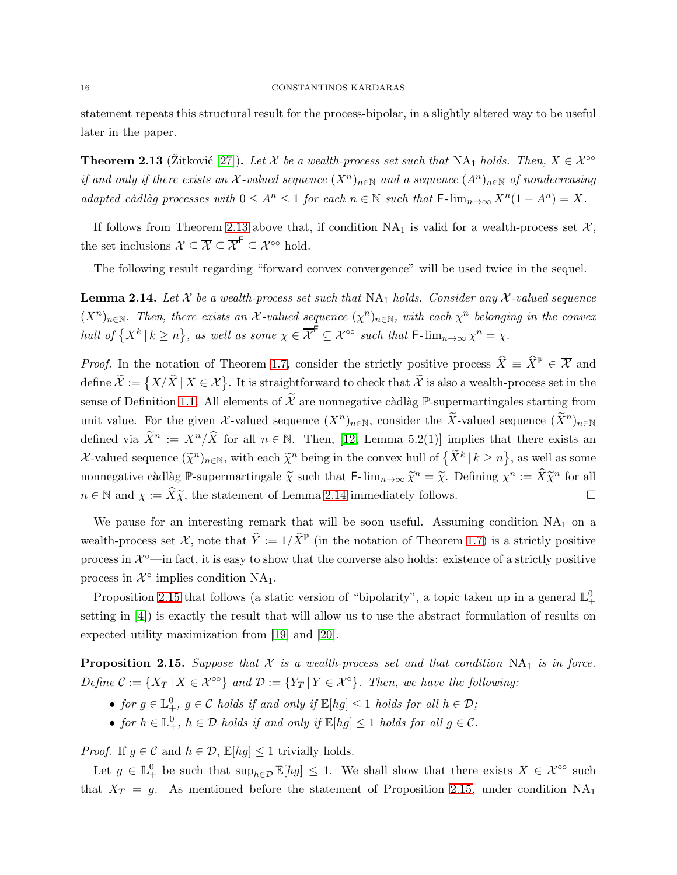statement repeats this structural result for the process-bipolar, in a slightly altered way to be useful later in the paper.

<span id="page-16-1"></span>**Theorem 2.13** (Žitković [\[27\]](#page-20-2)). Let X be a wealth-process set such that NA<sub>1</sub> holds. Then,  $X \in \mathcal{X}^\infty$ *if and only if there exists an X-valued sequence*  $(X^n)_{n \in \mathbb{N}}$  *and a sequence*  $(A^n)_{n \in \mathbb{N}}$  *of nondecreasing adapted càdlàg processes with*  $0 \leq A^n \leq 1$  *for each*  $n \in \mathbb{N}$  *such that*  $\mathsf{F\text{-}lim}_{n \to \infty} X^n(1 - A^n) = X$ *.* 

If follows from Theorem [2.13](#page-16-1) above that, if condition  $NA_1$  is valid for a wealth-process set X, the set inclusions  $\mathcal{X} \subseteq \overline{\mathcal{X}} \subseteq \overline{\mathcal{X}}^{\mathsf{F}} \subseteq \mathcal{X}^{\infty}$  hold.

The following result regarding "forward convex convergence" will be used twice in the sequel.

<span id="page-16-0"></span>**Lemma 2.14.** Let  $X$  be a wealth-process set such that  $NA_1$  holds. Consider any  $X$ -valued sequence  $(X^n)_{n\in\mathbb{N}}$ . Then, there exists an X-valued sequence  $(\chi^n)_{n\in\mathbb{N}}$ , with each  $\chi^n$  belonging in the convex *hull of*  $\{X^k | k \geq n\}$ , as well as some  $\chi \in \overline{\mathcal{X}}^{\mathsf{F}} \subseteq \mathcal{X}^{\circ\circ}$  such that  $\mathsf{F}\text{-}\lim_{n\to\infty}\chi^n = \chi$ .

*Proof.* In the notation of Theorem [1.7,](#page-6-0) consider the strictly positive process  $\widehat{X} = \widehat{X}^{\mathbb{P}} \in \overline{\mathcal{X}}$  and  $\det \widetilde{\mathcal{X}} := \big\{ X/\widehat{X} \, | \, X \in \mathcal{X} \big\}.$  It is straightforward to check that  $\widetilde{\mathcal{X}}$  is also a wealth-process set in the sense of Definition [1.1.](#page-3-1) All elements of  $\widetilde{\mathcal{X}}$  are nonnegative càdlàg P-supermartingales starting from unit value. For the given X-valued sequence  $(X^n)_{n\in\mathbb{N}}$ , consider the X-valued sequence  $(\tilde{X}^n)_{n\in\mathbb{N}}$ defined via  $\tilde{X}^n := X^n/\hat{X}$  for all  $n \in \mathbb{N}$ . Then, [\[12,](#page-19-12) Lemma 5.2(1)] implies that there exists an X-valued sequence  $(\tilde{\chi}^n)_{n\in\mathbb{N}}$ , with each  $\tilde{\chi}^n$  being in the convex hull of  $\{\tilde{X}^k \mid k \geq n\}$ , as well as some nonnegative càdlàg P-supermartingale  $\tilde{\chi}$  such that F-  $\lim_{n\to\infty} \tilde{\chi}^n = \tilde{\chi}$ . Defining  $\chi^n := \tilde{X}\tilde{\chi}^n$  for all  $n \in \mathbb{N}$  and  $\chi := \widehat{X}\widetilde{\chi}$ , the statement of Lemma [2.14](#page-16-0) immediately follows.

We pause for an interesting remark that will be soon useful. Assuming condition  $NA<sub>1</sub>$  on a wealth-process set  $\mathcal{X}$ , note that  $\hat{Y} := 1/\hat{X}^{\mathbb{P}}$  (in the notation of Theorem [1.7\)](#page-6-0) is a strictly positive process in  $\mathcal{X}^{\circ}$ —in fact, it is easy to show that the converse also holds: existence of a strictly positive process in  $\mathcal{X}^{\circ}$  implies condition NA<sub>1</sub>.

Proposition [2.15](#page-16-2) that follows (a static version of "bipolarity", a topic taken up in a general  $\mathbb{L}^0_+$ setting in [\[4\]](#page-19-16)) is exactly the result that will allow us to use the abstract formulation of results on expected utility maximization from [\[19\]](#page-20-0) and [\[20\]](#page-20-1).

<span id="page-16-2"></span>**Proposition 2.15.** Suppose that  $X$  is a wealth-process set and that condition  $NA_1$  is in force. *Define*  $\mathcal{C} := \{X_T | X \in \mathcal{X}^{\infty}\}\$  *and*  $\mathcal{D} := \{Y_T | Y \in \mathcal{X}^{\circ}\}\$ *. Then, we have the following:* 

- *for*  $g \in \mathbb{L}^0_+$ ,  $g \in \mathcal{C}$  *holds if and only if*  $\mathbb{E}[hg] \leq 1$  *holds for all*  $h \in \mathcal{D}$ ;
- *for*  $h \in \mathbb{L}^0_+$ ,  $h \in \mathcal{D}$  *holds if and only if*  $\mathbb{E}[hg] \leq 1$  *holds for all*  $g \in \mathcal{C}$ *.*

*Proof.* If  $g \in \mathcal{C}$  and  $h \in \mathcal{D}$ ,  $\mathbb{E}[hg] \leq 1$  trivially holds.

Let  $g \in \mathbb{L}^0_+$  be such that  $\sup_{h \in \mathcal{D}} \mathbb{E}[hg] \leq 1$ . We shall show that there exists  $X \in \mathcal{X}^{\infty}$  such that  $X_T = g$ . As mentioned before the statement of Proposition [2.15,](#page-16-2) under condition NA<sub>1</sub>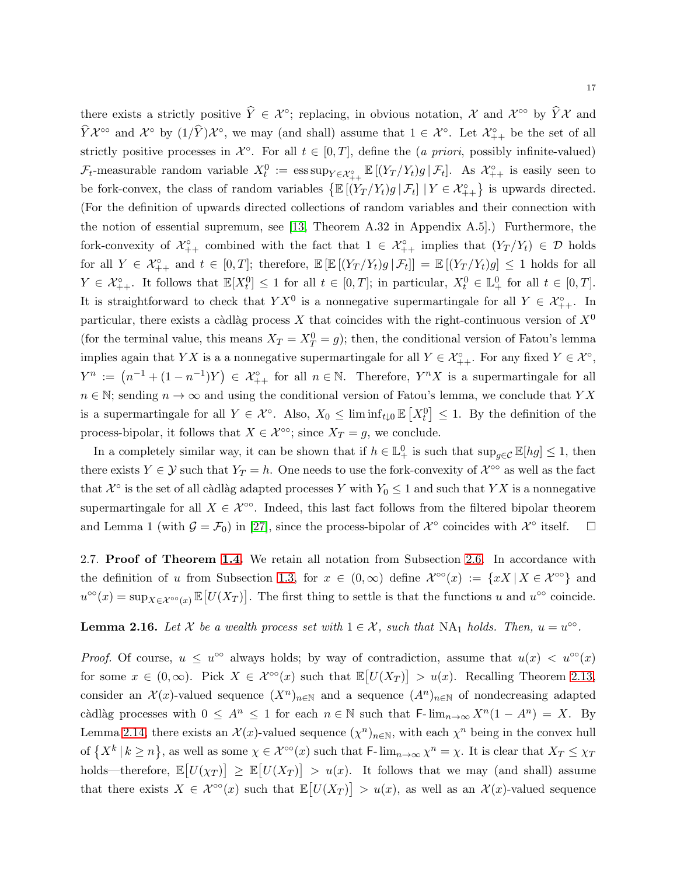there exists a strictly positive  $\hat{Y} \in \mathcal{X}^{\circ}$ ; replacing, in obvious notation, X and  $\mathcal{X}^{\circ\circ}$  by  $\hat{Y}\mathcal{X}$  and  $\widehat{Y} \mathcal{X}^{\circ}$  and  $\mathcal{X}^{\circ}$  by  $(1/\widehat{Y})\mathcal{X}^{\circ}$ , we may (and shall) assume that  $1 \in \mathcal{X}^{\circ}$ . Let  $\mathcal{X}^{\circ}_{++}$  be the set of all strictly positive processes in  $\mathcal{X}^{\circ}$ . For all  $t \in [0, T]$ , define the (*a priori*, possibly infinite-valued)  $\mathcal{F}_t$ -measurable random variable  $X_t^0 := \operatorname{ess} \sup_{Y \in \mathcal{X}_{++}^{\circ}} \mathbb{E} \left[ \left( Y_T / Y_t \right) g \middle| \mathcal{F}_t \right]$ . As  $\mathcal{X}_{++}^{\circ}$  is easily seen to be fork-convex, the class of random variables  $\{\mathbb{E}[(Y_T/Y_t)g|\mathcal{F}_t] | Y \in \mathcal{X}^{\circ}_{++}\}\$ is upwards directed. (For the definition of upwards directed collections of random variables and their connection with the notion of essential supremum, see [\[13,](#page-19-17) Theorem A.32 in Appendix A.5].) Furthermore, the fork-convexity of  $\mathcal{X}_{++}^{\circ}$  combined with the fact that  $1 \in \mathcal{X}_{++}^{\circ}$  implies that  $(Y_T/Y_t) \in \mathcal{D}$  holds for all  $Y \in \mathcal{X}_{++}^{\circ}$  and  $t \in [0,T]$ ; therefore,  $\mathbb{E}[\mathbb{E}[(Y_T/Y_t)g|\mathcal{F}_t]] = \mathbb{E}[(Y_T/Y_t)g] \leq 1$  holds for all  $Y \in \mathcal{X}_{++}^{\circ}$ . It follows that  $\mathbb{E}[X_t^0] \leq 1$  for all  $t \in [0,T]$ ; in particular,  $X_t^0 \in \mathbb{L}_+^0$  for all  $t \in [0,T]$ . It is straightforward to check that  $Y X^0$  is a nonnegative supermartingale for all  $Y \in \mathcal{X}^{\circ}_{++}$ . In particular, there exists a càdlàg process X that coincides with the right-continuous version of  $X^0$ (for the terminal value, this means  $X_T = X_T^0 = g$ ); then, the conditional version of Fatou's lemma implies again that YX is a a nonnegative supermartingale for all  $Y \in \mathcal{X}_{++}^{\circ}$ . For any fixed  $Y \in \mathcal{X}^{\circ}$ ,  $Y^n := (n^{-1} + (1 - n^{-1})Y) \in \mathcal{X}_{++}^{\circ}$  for all  $n \in \mathbb{N}$ . Therefore,  $Y^n X$  is a supermartingale for all  $n \in \mathbb{N}$ ; sending  $n \to \infty$  and using the conditional version of Fatou's lemma, we conclude that YX is a supermartingale for all  $Y \in \mathcal{X}^{\circ}$ . Also,  $X_0 \leq \liminf_{t \downarrow 0} \mathbb{E}\left[X_t^0\right] \leq 1$ . By the definition of the process-bipolar, it follows that  $X \in \mathcal{X}^{\infty}$ ; since  $X_T = g$ , we conclude.

In a completely similar way, it can be shown that if  $h \in \mathbb{L}^0_+$  is such that  $\sup_{g \in \mathcal{C}} \mathbb{E}[hg] \leq 1$ , then there exists  $Y \in \mathcal{Y}$  such that  $Y_T = h$ . One needs to use the fork-convexity of  $\mathcal{X}^{\infty}$  as well as the fact that  $\mathcal{X}^{\circ}$  is the set of all càdlàg adapted processes Y with  $Y_0 \leq 1$  and such that YX is a nonnegative supermartingale for all  $X \in \mathcal{X}^{\infty}$ . Indeed, this last fact follows from the filtered bipolar theorem and Lemma 1 (with  $\mathcal{G} = \mathcal{F}_0$ ) in [\[27\]](#page-20-2), since the process-bipolar of  $\mathcal{X}^{\circ}$  coincides with  $\mathcal{X}^{\circ}$  itself.  $\square$ 

<span id="page-17-0"></span>2.7. Proof of Theorem [1.4.](#page-5-0) We retain all notation from Subsection [2.6.](#page-15-0) In accordance with the definition of u from Subsection [1.3,](#page-4-2) for  $x \in (0, \infty)$  define  $\mathcal{X}^{\infty}(x) := \{x X \mid X \in \mathcal{X}^{\infty}\}\$ and  $u^{\infty}(x) = \sup_{X \in \mathcal{X}^{\infty}(x)} \mathbb{E}[U(X_T)].$  The first thing to settle is that the functions u and  $u^{\infty}$  coincide.

<span id="page-17-1"></span>**Lemma 2.16.** Let X be a wealth process set with  $1 \in \mathcal{X}$ , such that NA<sub>1</sub> holds. Then,  $u = u^{\infty}$ .

*Proof.* Of course,  $u \leq u^{\circ\circ}$  always holds; by way of contradiction, assume that  $u(x) < u^{\circ\circ}(x)$ for some  $x \in (0,\infty)$ . Pick  $X \in \mathcal{X}^{\infty}(x)$  such that  $\mathbb{E}[U(X_T)] > u(x)$ . Recalling Theorem [2.13,](#page-16-1) consider an  $\mathcal{X}(x)$ -valued sequence  $(X^n)_{n\in\mathbb{N}}$  and a sequence  $(A^n)_{n\in\mathbb{N}}$  of nondecreasing adapted càdlàg processes with  $0 \leq A^n \leq 1$  for each  $n \in \mathbb{N}$  such that  $\mathsf{F}\text{-}\lim_{n\to\infty} X^n(1-A^n) = X$ . By Lemma [2.14,](#page-16-0) there exists an  $\mathcal{X}(x)$ -valued sequence  $(\chi^n)_{n\in\mathbb{N}}$ , with each  $\chi^n$  being in the convex hull of  $\{X^k | k \geq n\}$ , as well as some  $\chi \in \mathcal{X}^{\infty}(x)$  such that F- $\lim_{n\to\infty}\chi^n = \chi$ . It is clear that  $X_T \leq \chi_T$ holds—therefore,  $\mathbb{E}[U(\chi_T)] \geq \mathbb{E}[U(X_T)] > u(x)$ . It follows that we may (and shall) assume that there exists  $X \in \mathcal{X}^{\infty}(x)$  such that  $\mathbb{E}[U(X_T)] > u(x)$ , as well as an  $\mathcal{X}(x)$ -valued sequence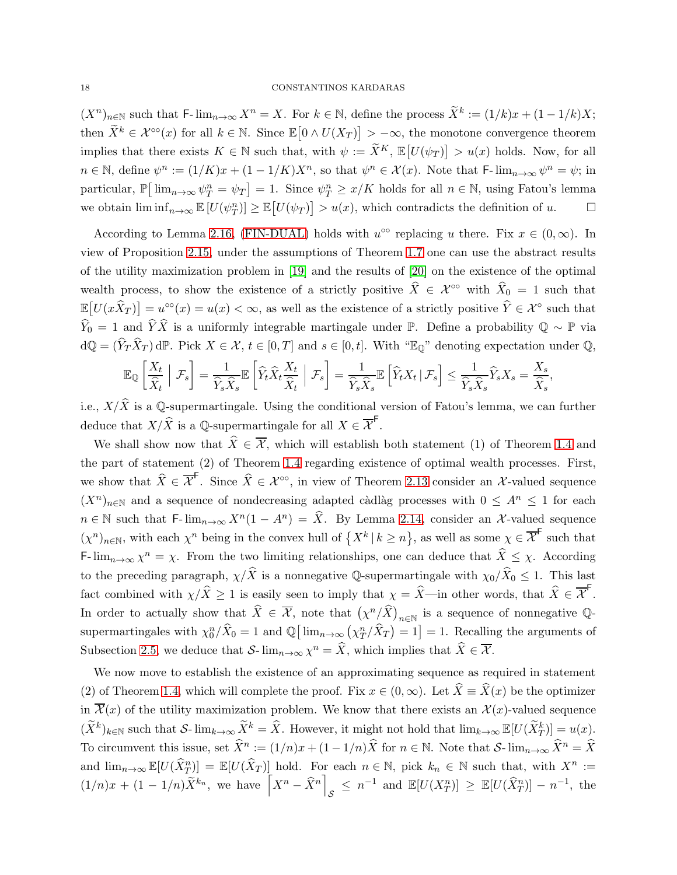$(X^n)_{n\in\mathbb{N}}$  such that F- $\lim_{n\to\infty} X^n = X$ . For  $k \in \mathbb{N}$ , define the process  $\widetilde{X}^k := (1/k)x + (1 - 1/k)X$ ; then  $\widetilde{X}^k \in \mathcal{X}^{\infty}(x)$  for all  $k \in \mathbb{N}$ . Since  $\mathbb{E}\big[0 \wedge U(X_T)\big] > -\infty$ , the monotone convergence theorem implies that there exists  $K \in \mathbb{N}$  such that, with  $\psi := \widetilde{X}^K$ ,  $\mathbb{E}[U(\psi_T)] > u(x)$  holds. Now, for all  $n \in \mathbb{N}$ , define  $\psi^n := (1/K)x + (1 - 1/K)X^n$ , so that  $\psi^n \in \mathcal{X}(x)$ . Note that F- $\lim_{n \to \infty} \psi^n = \psi$ ; in particular,  $\mathbb{P}[\lim_{n\to\infty}\psi_{T}^{n}=\psi_{T}]=1$ . Since  $\psi_{T}^{n}\geq x/K$  holds for all  $n\in\mathbb{N}$ , using Fatou's lemma we obtain  $\liminf_{n\to\infty} \mathbb{E}\left[U(\psi_T^n)\right] \geq \mathbb{E}\left[U(\psi_T)\right] > u(x)$ , which contradicts the definition of u.  $\Box$ 

According to Lemma [2.16,](#page-17-1) [\(FIN-DUAL\)](#page-5-1) holds with  $u^{\infty}$  replacing u there. Fix  $x \in (0,\infty)$ . In view of Proposition [2.15,](#page-16-2) under the assumptions of Theorem [1.7](#page-6-0) one can use the abstract results of the utility maximization problem in [\[19\]](#page-20-0) and the results of [\[20\]](#page-20-1) on the existence of the optimal wealth process, to show the existence of a strictly positive  $\hat{X} \in \mathcal{X}^{\infty}$  with  $\hat{X}_0 = 1$  such that  $\mathbb{E}\big[U(x\widehat{X}_T)\big] = u^{\infty}(x) = u(x) < \infty$ , as well as the existence of a strictly positive  $\widehat{Y} \in \mathcal{X}^{\circ}$  such that  $\hat{Y}_0 = 1$  and  $\hat{Y}\hat{X}$  is a uniformly integrable martingale under P. Define a probability Q ∼ P via  $d\mathbb{Q} = (\hat{Y}_T \hat{X}_T) d\mathbb{P}$ . Pick  $X \in \mathcal{X}, t \in [0, T]$  and  $s \in [0, t]$ . With " $\mathbb{E}_{\mathbb{Q}}$ " denoting expectation under  $\mathbb{Q}$ ,

$$
\mathbb{E}_{\mathbb{Q}}\left[\frac{X_t}{\widehat{X}_t} \middle| \mathcal{F}_s\right] = \frac{1}{\widehat{Y}_s \widehat{X}_s} \mathbb{E}\left[\widehat{Y}_t \widehat{X}_t \frac{X_t}{\widehat{X}_t} \middle| \mathcal{F}_s\right] = \frac{1}{\widehat{Y}_s \widehat{X}_s} \mathbb{E}\left[\widehat{Y}_t X_t \middle| \mathcal{F}_s\right] \le \frac{1}{\widehat{Y}_s \widehat{X}_s} \widehat{Y}_s X_s = \frac{X_s}{\widehat{X}_s},
$$

i.e.,  $X/X$  is a Q-supermartingale. Using the conditional version of Fatou's lemma, we can further deduce that  $X/\widehat{X}$  is a Q-supermartingale for all  $X \in \overline{\mathcal{X}}^{\mathsf{F}}$ .

We shall show now that  $\widehat{X} \in \overline{\mathcal{X}}$ , which will establish both statement (1) of Theorem [1.4](#page-5-0) and the part of statement (2) of Theorem [1.4](#page-5-0) regarding existence of optimal wealth processes. First, we show that  $\hat{X} \in \overline{\mathcal{X}}^{\mathsf{F}}$ . Since  $\hat{X} \in \mathcal{X}^{\infty}$ , in view of Theorem [2.13](#page-16-1) consider an X-valued sequence  $(X^n)_{n\in\mathbb{N}}$  and a sequence of nondecreasing adapted càdlàg processes with  $0 \leq A^n \leq 1$  for each  $n \in \mathbb{N}$  such that F- $\lim_{n\to\infty} X^n(1-A^n) = \hat{X}$ . By Lemma [2.14,](#page-16-0) consider an X-valued sequence  $(\chi^n)_{n\in\mathbb{N}}$ , with each  $\chi^n$  being in the convex hull of  $\{X^k \mid k\geq n\}$ , as well as some  $\chi \in \overline{\mathcal{X}}^{\mathsf{F}}$  such that F- $\lim_{n\to\infty}\chi^n=\chi$ . From the two limiting relationships, one can deduce that  $\hat{X}\leq \chi$ . According to the preceding paragraph,  $\chi/\hat{X}$  is a nonnegative Q-supermartingale with  $\chi_0/\hat{X}_0 \leq 1$ . This last fact combined with  $\chi/\widehat{X} \ge 1$  is easily seen to imply that  $\chi = \widehat{X}$ —in other words, that  $\widehat{X} \in \overline{\mathcal{X}}^{\mathsf{F}}$ . In order to actually show that  $\widehat{X} \in \overline{\mathcal{X}}$ , note that  $(\chi^n/\widehat{X})_{n \in \mathbb{N}}$  is a sequence of nonnegative Qsupermartingales with  $\chi_0^n/\widehat{X}_0 = 1$  and  $\mathbb{Q}[\lim_{n\to\infty} (\chi_T^n/\widehat{X}_T) = 1] = 1$ . Recalling the arguments of Subsection [2.5,](#page-13-1) we deduce that  $S$ -  $\lim_{n\to\infty} \chi^n = \hat{X}$ , which implies that  $\hat{X} \in \overline{\mathcal{X}}$ .

We now move to establish the existence of an approximating sequence as required in statement (2) of Theorem [1.4,](#page-5-0) which will complete the proof. Fix  $x \in (0,\infty)$ . Let  $\widehat{X} = \widehat{X}(x)$  be the optimizer in  $\overline{\mathcal{X}}(x)$  of the utility maximization problem. We know that there exists an  $\mathcal{X}(x)$ -valued sequence  $(\widetilde{X}^k)_{k \in \mathbb{N}}$  such that  $S$ -  $\lim_{k \to \infty} \widetilde{X}^k = \widehat{X}$ . However, it might not hold that  $\lim_{k \to \infty} \mathbb{E}[U(\widetilde{X}^k_T)] = u(x)$ . To circumvent this issue, set  $\hat{X}^n := (1/n)x + (1 - 1/n)\hat{X}$  for  $n \in \mathbb{N}$ . Note that  $\mathcal{S}\text{-}\lim_{n\to\infty} \hat{X}^n = \hat{X}$ and  $\lim_{n\to\infty} \mathbb{E}[U(\hat{X}_T^n)] = \mathbb{E}[U(\hat{X}_T)]$  hold. For each  $n \in \mathbb{N}$ , pick  $k_n \in \mathbb{N}$  such that, with  $X^n :=$  $(1/n)x + (1 - 1/n)\tilde{X}^{k_n}$ , we have  $\left[ X^n - \hat{X}^n \right]$  $S \leq n^{-1}$  and  $\mathbb{E}[U(X_T^n)] \geq \mathbb{E}[U(\widehat{X}_T^n)] - n^{-1}$ , the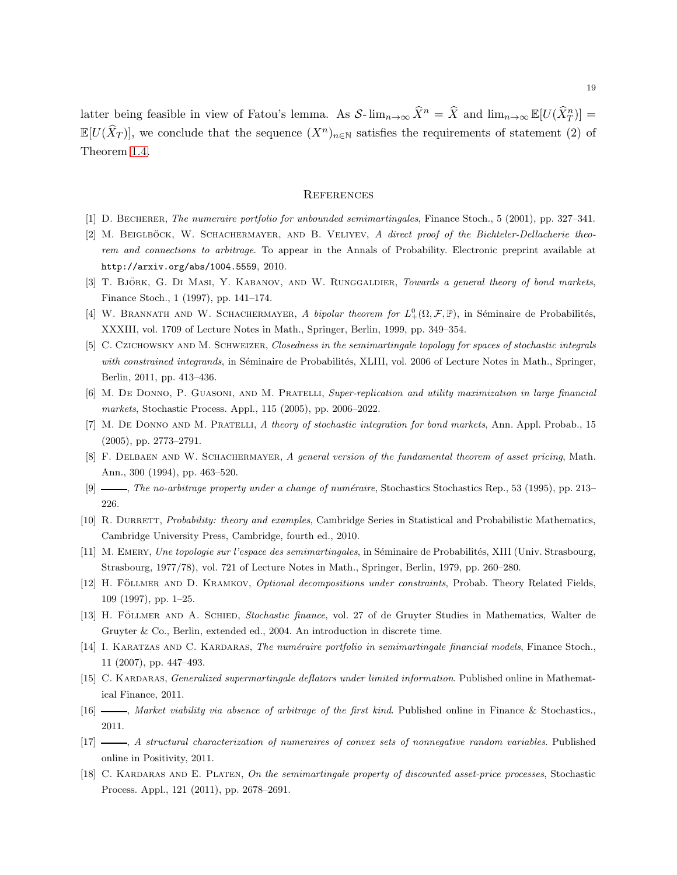latter being feasible in view of Fatou's lemma. As  $S$ -  $\lim_{n\to\infty} \widehat{X}^n = \widehat{X}$  and  $\lim_{n\to\infty} \mathbb{E}[U(\widehat{X}^n_T)] =$  $\mathbb{E}[U(\hat{X}_T)]$ , we conclude that the sequence  $(X^n)_{n\in\mathbb{N}}$  satisfies the requirements of statement (2) of Theorem [1.4.](#page-5-0)

#### **REFERENCES**

- <span id="page-19-8"></span><span id="page-19-6"></span>[1] D. BECHERER, The numeraire portfolio for unbounded semimartingales, Finance Stoch., 5 (2001), pp. 327–341.
- [2] M. BEIGLBÖCK, W. SCHACHERMAYER, AND B. VELIYEV, A direct proof of the Bichteler-Dellacherie theorem and connections to arbitrage. To appear in the Annals of Probability. Electronic preprint available at http://arxiv.org/abs/1004.5559, 2010.
- <span id="page-19-16"></span><span id="page-19-0"></span>[3] T. BJÖRK, G. DI MASI, Y. KABANOV, AND W. RUNGGALDIER, Towards a general theory of bond markets, Finance Stoch., 1 (1997), pp. 141–174.
- <span id="page-19-10"></span>[4] W. BRANNATH AND W. SCHACHERMAYER, A bipolar theorem for  $L^0_+(\Omega,\mathcal{F},\mathbb{P})$ , in Séminaire de Probabilités, XXXIII, vol. 1709 of Lecture Notes in Math., Springer, Berlin, 1999, pp. 349–354.
- [5] C. CZICHOWSKY AND M. SCHWEIZER, Closedness in the semimartingale topology for spaces of stochastic integrals with constrained integrands, in Séminaire de Probabilités, XLIII, vol. 2006 of Lecture Notes in Math., Springer, Berlin, 2011, pp. 413–436.
- <span id="page-19-2"></span><span id="page-19-1"></span>[6] M. De Donno, P. Guasoni, and M. Pratelli, Super-replication and utility maximization in large financial markets, Stochastic Process. Appl., 115 (2005), pp. 2006–2022.
- <span id="page-19-3"></span>[7] M. DE DONNO AND M. PRATELLI, A theory of stochastic integration for bond markets, Ann. Appl. Probab., 15 (2005), pp. 2773–2791.
- <span id="page-19-7"></span>[8] F. DELBAEN AND W. SCHACHERMAYER, A general version of the fundamental theorem of asset pricing, Math. Ann., 300 (1994), pp. 463–520.
- <span id="page-19-15"></span>[9]  $\_\_\_\_\$ no-arbitrage property under a change of numéraire, Stochastics Stochastics Rep., 53 (1995), pp. 213– 226.
- <span id="page-19-4"></span>[10] R. DURRETT, Probability: theory and examples, Cambridge Series in Statistical and Probabilistic Mathematics, Cambridge University Press, Cambridge, fourth ed., 2010.
- <span id="page-19-12"></span>[11] M. EMERY, Une topologie sur l'espace des semimartingales, in Séminaire de Probabilités, XIII (Univ. Strasbourg, Strasbourg, 1977/78), vol. 721 of Lecture Notes in Math., Springer, Berlin, 1979, pp. 260–280.
- <span id="page-19-17"></span>[12] H. FÖLLMER AND D. KRAMKOV, Optional decompositions under constraints, Probab. Theory Related Fields, 109 (1997), pp. 1–25.
- <span id="page-19-9"></span>[13] H. FÖLLMER AND A. SCHIED, Stochastic finance, vol. 27 of de Gruyter Studies in Mathematics, Walter de Gruyter & Co., Berlin, extended ed., 2004. An introduction in discrete time.
- <span id="page-19-14"></span>[14] I. KARATZAS AND C. KARDARAS, The numéraire portfolio in semimartingale financial models, Finance Stoch., 11 (2007), pp. 447–493.
- <span id="page-19-11"></span>[15] C. KARDARAS, *Generalized supermartingale deflators under limited information*. Published online in Mathematical Finance, 2011.
- <span id="page-19-13"></span>[16]  $\_\_\_\_\$ , Market viability via absence of arbitrage of the first kind. Published online in Finance & Stochastics. 2011.
- <span id="page-19-5"></span>[17] , A structural characterization of numeraires of convex sets of nonnegative random variables. Published online in Positivity, 2011.
- [18] C. KARDARAS AND E. PLATEN, On the semimartingale property of discounted asset-price processes, Stochastic Process. Appl., 121 (2011), pp. 2678–2691.